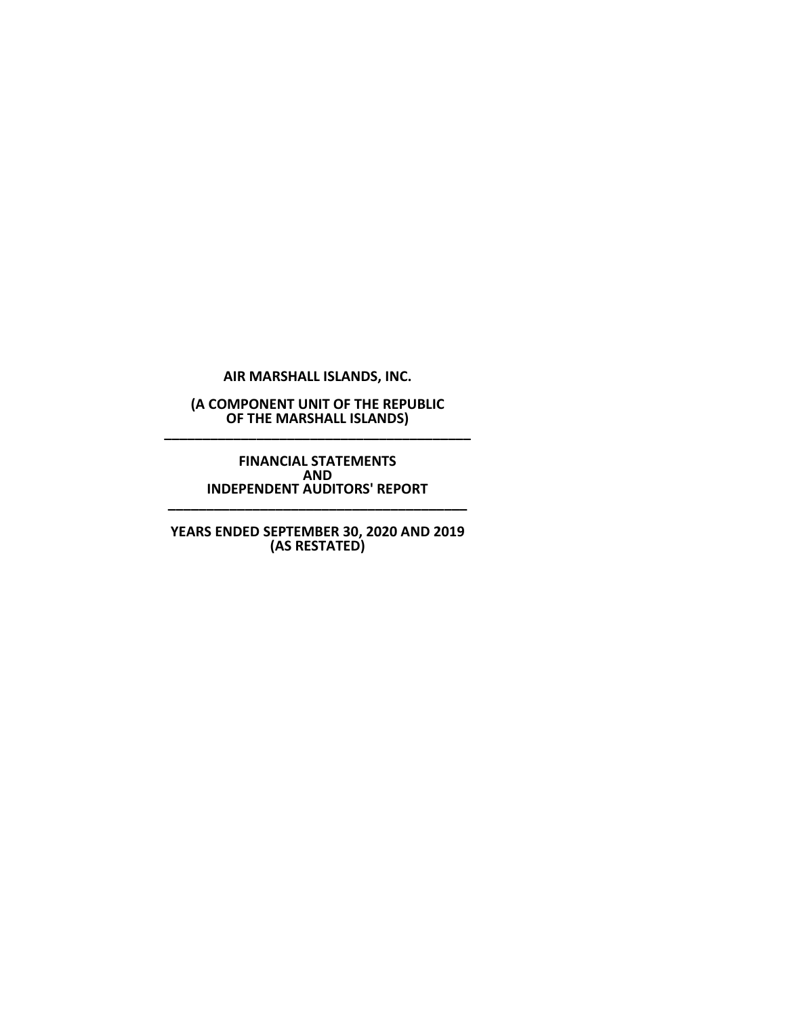**AIR MARSHALL ISLANDS, INC.**

**(A COMPONENT UNIT OF THE REPUBLIC OF THE MARSHALL ISLANDS) \_\_\_\_\_\_\_\_\_\_\_\_\_\_\_\_\_\_\_\_\_\_\_\_\_\_\_\_\_\_\_\_\_\_\_\_\_\_\_\_**

> **FINANCIAL STATEMENTS AND INDEPENDENT AUDITORS' REPORT**

**\_\_\_\_\_\_\_\_\_\_\_\_\_\_\_\_\_\_\_\_\_\_\_\_\_\_\_\_\_\_\_\_\_\_\_\_\_\_\_**

**YEARS ENDED SEPTEMBER 30, 2020 AND 2019 (AS RESTATED)**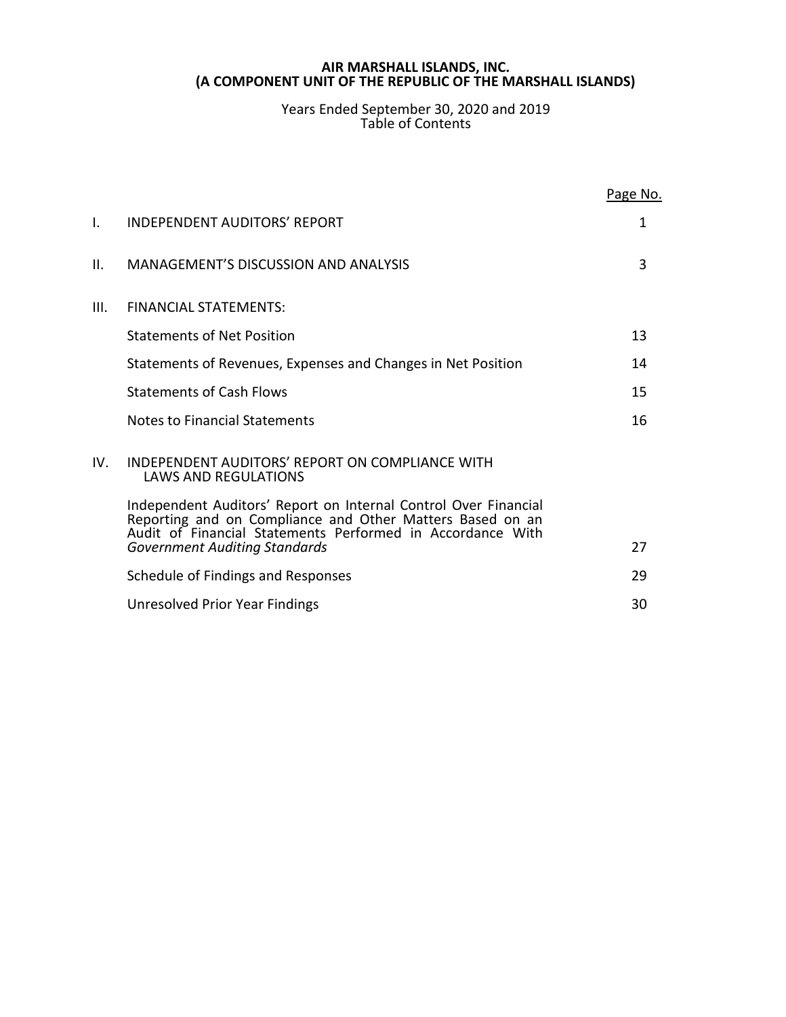Years Ended September 30, 2020 and 2019 Table of Contents

|      |                                                                                                                                                                                            | Page No. |
|------|--------------------------------------------------------------------------------------------------------------------------------------------------------------------------------------------|----------|
| I.   | INDEPENDENT AUDITORS' REPORT                                                                                                                                                               | 1        |
| II.  | <b>MANAGEMENT'S DISCUSSION AND ANALYSIS</b>                                                                                                                                                | 3        |
| III. | <b>FINANCIAL STATEMENTS:</b>                                                                                                                                                               |          |
|      | <b>Statements of Net Position</b>                                                                                                                                                          | 13       |
|      | Statements of Revenues, Expenses and Changes in Net Position                                                                                                                               | 14       |
|      | <b>Statements of Cash Flows</b>                                                                                                                                                            | 15       |
|      | Notes to Financial Statements                                                                                                                                                              | 16       |
| IV.  | INDEPENDENT AUDITORS' REPORT ON COMPLIANCE WITH<br><b>LAWS AND REGULATIONS</b>                                                                                                             |          |
|      | Independent Auditors' Report on Internal Control Over Financial<br>Reporting and on Compliance and Other Matters Based on an<br>Audit of Financial Statements Performed in Accordance With |          |
|      | <b>Government Auditing Standards</b>                                                                                                                                                       | 27       |
|      | Schedule of Findings and Responses                                                                                                                                                         | 29       |
|      | Unresolved Prior Year Findings                                                                                                                                                             | 30       |
|      |                                                                                                                                                                                            |          |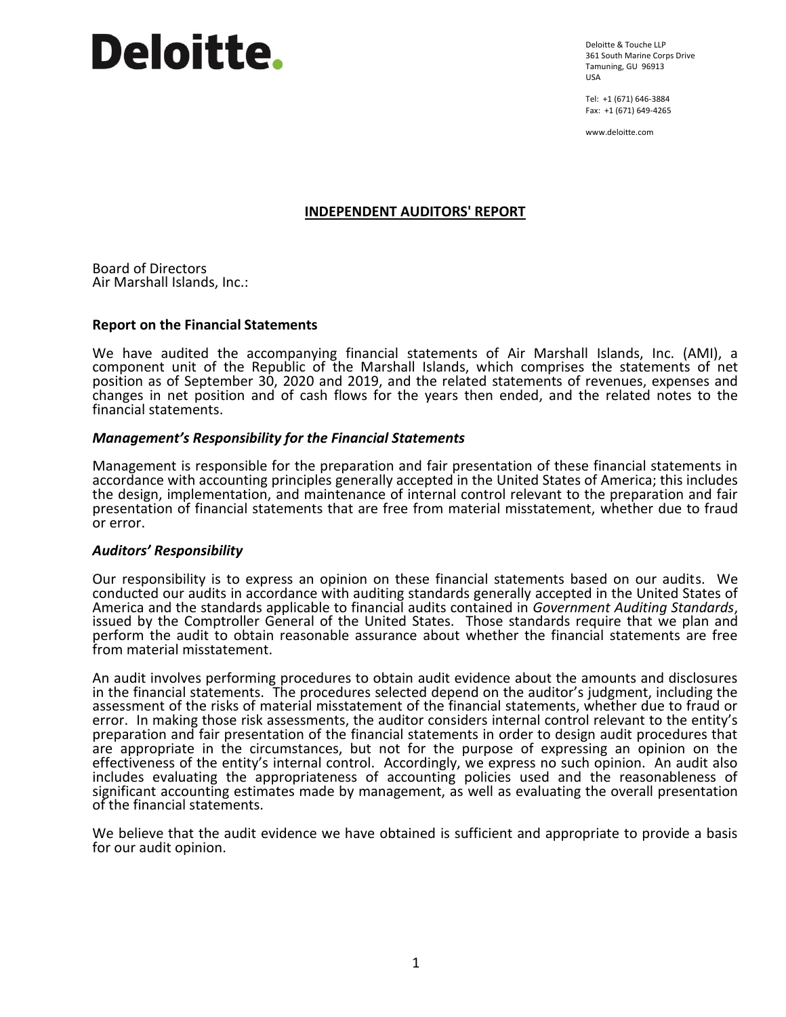# **Deloitte.**

Deloitte & Touche LLP 361 South Marine Corps Drive Tamuning, GU 96913 USA

Tel: +1 (671) 646-3884 Fax: +1 (671) 649-4265

www.deloitte.com

# **INDEPENDENT AUDITORS' REPORT**

Board of Directors Air Marshall Islands, Inc.:

# **Report on the Financial Statements**

We have audited the accompanying financial statements of Air Marshall Islands, Inc. (AMI), a component unit of the Republic of the Marshall Islands, which comprises the statements of net position as of September 30, 2020 and 2019, and the related statements of revenues, expenses and changes in net position and of cash flows for the years then ended, and the related notes to the financial statements.

# *Management's Responsibility for the Financial Statements*

Management is responsible for the preparation and fair presentation of these financial statements in accordance with accounting principles generally accepted in the United States of America; this includes the design, implementation, and maintenance of internal control relevant to the preparation and fair presentation of financial statements that are free from material misstatement, whether due to fraud or error.

#### *Auditors' Responsibility*

Our responsibility is to express an opinion on these financial statements based on our audits. We conducted our audits in accordance with auditing standards generally accepted in the United States of America and the standards applicable to financial audits contained in *Government Auditing Standards*, issued by the Comptroller General of the United States. Those standards require that we plan and perform the audit to obtain reasonable assurance about whether the financial statements are free from material misstatement.

An audit involves performing procedures to obtain audit evidence about the amounts and disclosures in the financial statements. The procedures selected depend on the auditor's judgment, including the assessment of the risks of material misstatement of the financial statements, whether due to fraud or error. In making those risk assessments, the auditor considers internal control relevant to the entity's preparation and fair presentation of the financial statements in order to design audit procedures that are appropriate in the circumstances, but not for the purpose of expressing an opinion on the effectiveness of the entity's internal control. Accordingly, we express no such opinion. An audit also includes evaluating the appropriateness of accounting policies used and the reasonableness of significant accounting estimates made by management, as well as evaluating the overall presentation of the financial statements.

We believe that the audit evidence we have obtained is sufficient and appropriate to provide a basis for our audit opinion.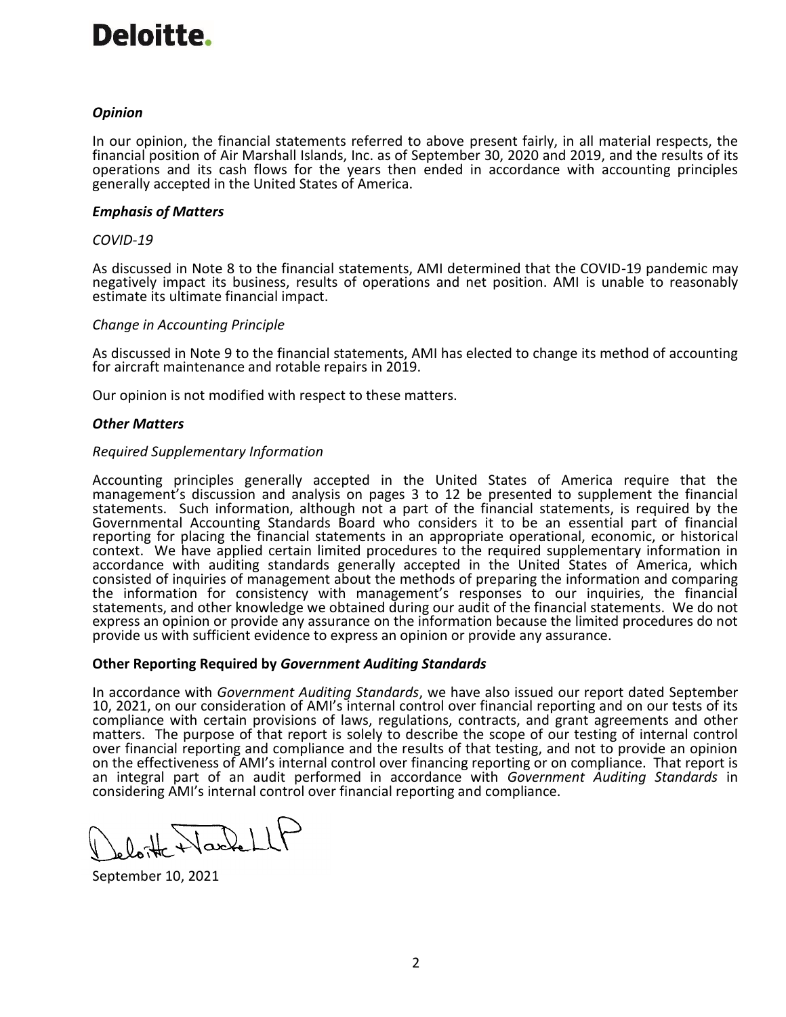# Deloitte.

# *Opinion*

In our opinion, the financial statements referred to above present fairly, in all material respects, the financial position of Air Marshall Islands, Inc. as of September 30, 2020 and 2019, and the results of its operations and its cash flows for the years then ended in accordance with accounting principles generally accepted in the United States of America.

# *Emphasis of Matters*

# *COVID-19*

As discussed in Note 8 to the financial statements, AMI determined that the COVID-19 pandemic may negatively impact its business, results of operations and net position. AMI is unable to reasonably estimate its ultimate financial impact.

# *Change in Accounting Principle*

As discussed in Note 9 to the financial statements, AMI has elected to change its method of accounting for aircraft maintenance and rotable repairs in 2019.

Our opinion is not modified with respect to these matters.

# *Other Matters*

# *Required Supplementary Information*

Accounting principles generally accepted in the United States of America require that the management's discussion and analysis on pages 3 to 12 be presented to supplement the financial statements. Such information, although not a part of the financial statements, is required by the Governmental Accounting Standards Board who considers it to be an essential part of financial reporting for placing the financial statements in an appropriate operational, economic, or historical context. We have applied certain limited procedures to the required supplementary information in accordance with auditing standards generally accepted in the United States of America, which consisted of inquiries of management about the methods of preparing the information and comparing the information for consistency with management's responses to our inquiries, the financial statements, and other knowledge we obtained during our audit of the financial statements. We do not express an opinion or provide any assurance on the information because the limited procedures do not provide us with sufficient evidence to express an opinion or provide any assurance.

# **Other Reporting Required by** *Government Auditing Standards*

In accordance with *Government Auditing Standards*, we have also issued our report dated September 10, 2021, on our consideration of AMI's internal control over financial reporting and on our tests of its compliance with certain provisions of laws, regulations, contracts, and grant agreements and other matters. The purpose of that report is solely to describe the scope of our testing of internal control over financial reporting and compliance and the results of that testing, and not to provide an opinion on the effectiveness of AMI's internal control over financing reporting or on compliance. That report is an integral part of an audit performed in accordance with *Government Auditing Standards* in considering AMI's internal control over financial reporting and compliance.

September 10, 2021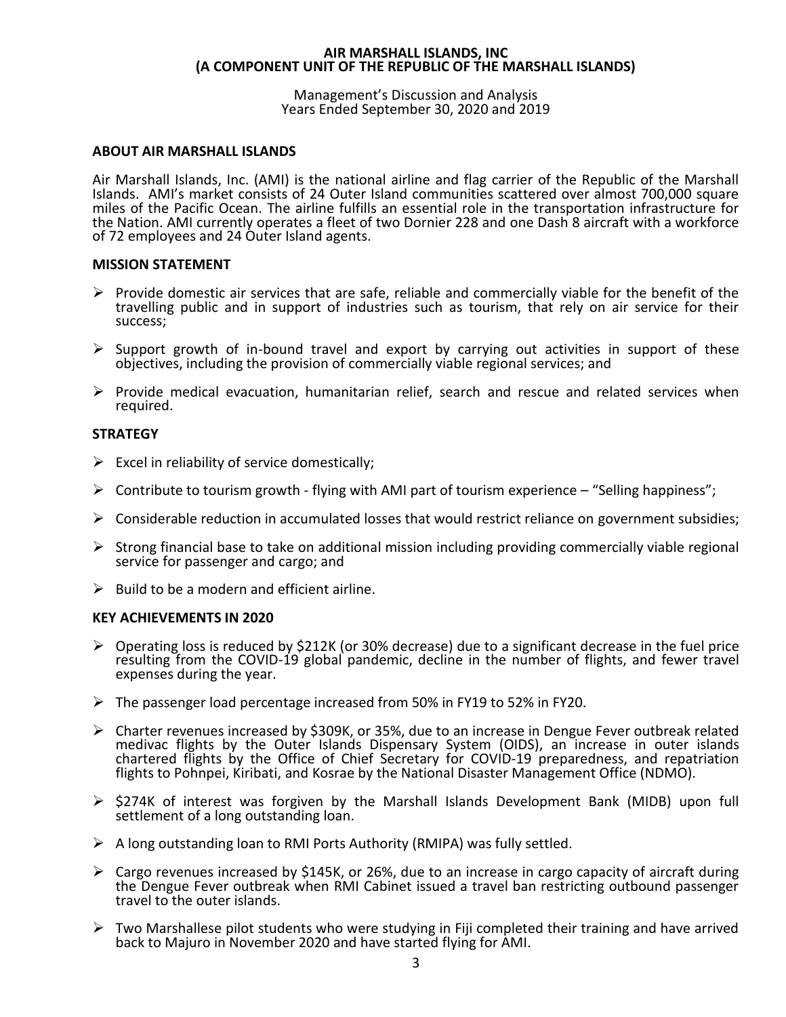#### Management's Discussion and Analysis Years Ended September 30, 2020 and 2019

# **ABOUT AIR MARSHALL ISLANDS**

Air Marshall Islands, Inc. (AMI) is the national airline and flag carrier of the Republic of the Marshall Islands. AMI's market consists of 24 Outer Island communities scattered over almost 700,000 square miles of the Pacific Ocean. The airline fulfills an essential role in the transportation infrastructure for the Nation. AMI currently operates a fleet of two Dornier 228 and one Dash 8 aircraft with a workforce of 72 employees and 24 Outer Island agents.

# **MISSION STATEMENT**

- $\triangleright$  Provide domestic air services that are safe, reliable and commercially viable for the benefit of the travelling public and in support of industries such as tourism, that rely on air service for their success;
- $\triangleright$  Support growth of in-bound travel and export by carrying out activities in support of these objectives, including the provision of commercially viable regional services; and
- $\triangleright$  Provide medical evacuation, humanitarian relief, search and rescue and related services when required.

# **STRATEGY**

- $\triangleright$  Excel in reliability of service domestically;
- $\triangleright$  Contribute to tourism growth flying with AMI part of tourism experience "Selling happiness";
- $\triangleright$  Considerable reduction in accumulated losses that would restrict reliance on government subsidies;
- $\triangleright$  Strong financial base to take on additional mission including providing commercially viable regional service for passenger and cargo; and
- $\triangleright$  Build to be a modern and efficient airline.

#### **KEY ACHIEVEMENTS IN 2020**

- $\triangleright$  Operating loss is reduced by \$212K (or 30% decrease) due to a significant decrease in the fuel price resulting from the COVID-19 global pandemic, decline in the number of flights, and fewer travel expenses during the year.
- ➢ The passenger load percentage increased from 50% in FY19 to 52% in FY20.
- ➢ Charter revenues increased by \$309K, or 35%, due to an increase in Dengue Fever outbreak related medivac flights by the Outer Islands Dispensary System (OIDS), an increase in outer islands chartered flights by the Office of Chief Secretary for COVID-19 preparedness, and repatriation flights to Pohnpei, Kiribati, and Kosrae by the National Disaster Management Office (NDMO).
- ➢ \$274K of interest was forgiven by the Marshall Islands Development Bank (MIDB) upon full settlement of a long outstanding loan.
- $\triangleright$  A long outstanding loan to RMI Ports Authority (RMIPA) was fully settled.
- ➢ Cargo revenues increased by \$145K, or 26%, due to an increase in cargo capacity of aircraft during the Dengue Fever outbreak when RMI Cabinet issued a travel ban restricting outbound passenger travel to the outer islands.
- $\triangleright$  Two Marshallese pilot students who were studying in Fiji completed their training and have arrived back to Majuro in November 2020 and have started flying for AMI.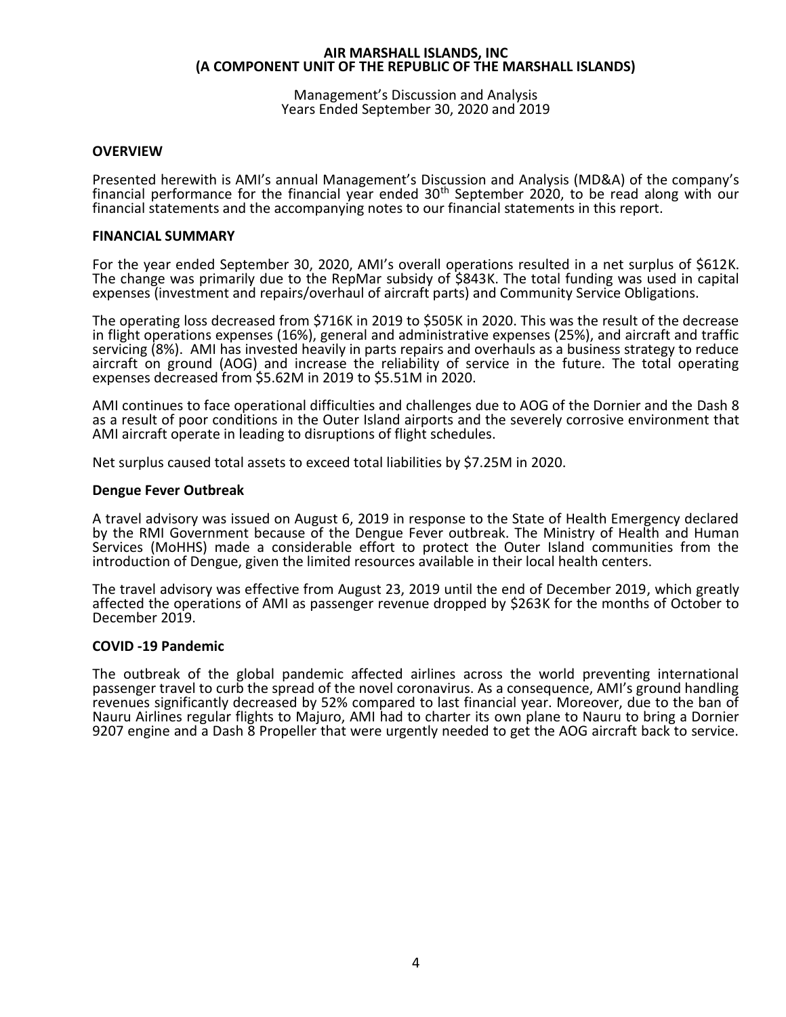Management's Discussion and Analysis Years Ended September 30, 2020 and 2019

# **OVERVIEW**

Presented herewith is AMI's annual Management's Discussion and Analysis (MD&A) of the company's financial performance for the financial year ended  $30<sup>th</sup>$  September 2020, to be read along with our financial statements and the accompanying notes to our financial statements in this report.

#### **FINANCIAL SUMMARY**

For the year ended September 30, 2020, AMI's overall operations resulted in a net surplus of \$612K. The change was primarily due to the RepMar subsidy of \$843K. The total funding was used in capital expenses (investment and repairs/overhaul of aircraft parts) and Community Service Obligations.

The operating loss decreased from \$716K in 2019 to \$505K in 2020. This was the result of the decrease in flight operations expenses (16%), general and administrative expenses (25%), and aircraft and traffic servicing (8%). AMI has invested heavily in parts repairs and overhauls as a business strategy to reduce aircraft on ground (AOG) and increase the reliability of service in the future. The total operating expenses decreased from \$5.62M in 2019 to \$5.51M in 2020.

AMI continues to face operational difficulties and challenges due to AOG of the Dornier and the Dash 8 as a result of poor conditions in the Outer Island airports and the severely corrosive environment that AMI aircraft operate in leading to disruptions of flight schedules.

Net surplus caused total assets to exceed total liabilities by \$7.25M in 2020.

#### **Dengue Fever Outbreak**

A travel advisory was issued on August 6, 2019 in response to the State of Health Emergency declared by the RMI Government because of the Dengue Fever outbreak. The Ministry of Health and Human Services (MoHHS) made a considerable effort to protect the Outer Island communities from the introduction of Dengue, given the limited resources available in their local health centers.

The travel advisory was effective from August 23, 2019 until the end of December 2019, which greatly affected the operations of AMI as passenger revenue dropped by \$263K for the months of October to December 2019.

#### **COVID -19 Pandemic**

The outbreak of the global pandemic affected airlines across the world preventing international passenger travel to curb the spread of the novel coronavirus. As a consequence, AMI's ground handling revenues significantly decreased by 52% compared to last financial year. Moreover, due to the ban of Nauru Airlines regular flights to Majuro, AMI had to charter its own plane to Nauru to bring a Dornier 9207 engine and a Dash 8 Propeller that were urgently needed to get the AOG aircraft back to service.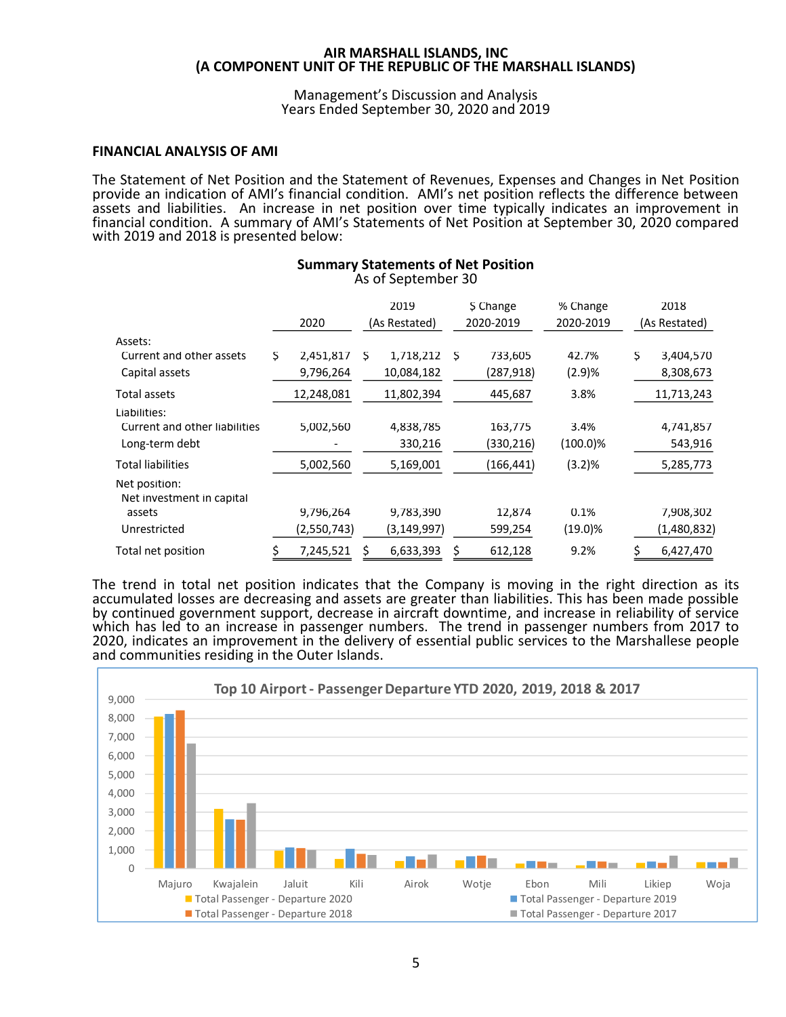#### Management's Discussion and Analysis Years Ended September 30, 2020 and 2019

#### **FINANCIAL ANALYSIS OF AMI**

The Statement of Net Position and the Statement of Revenues, Expenses and Changes in Net Position provide an indication of AMI's financial condition. AMI's net position reflects the difference between assets and liabilities. An increase in net position over time typically indicates an improvement in financial condition. A summary of AMI's Statements of Net Position at September 30, 2020 compared with 2019 and 2018 is presented below:

|                                            |    |             |   | 2019          |   | \$ Change  | % Change   |    | 2018          |
|--------------------------------------------|----|-------------|---|---------------|---|------------|------------|----|---------------|
|                                            |    | 2020        |   | (As Restated) |   | 2020-2019  | 2020-2019  |    | (As Restated) |
| Assets:                                    |    |             |   |               |   |            |            |    |               |
| Current and other assets                   | Ş  | 2,451,817   | S | 1,718,212     | S | 733,605    | 42.7%      | Ş  | 3,404,570     |
| Capital assets                             |    | 9,796,264   |   | 10,084,182    |   | (287, 918) | (2.9)%     |    | 8,308,673     |
| Total assets                               |    | 12,248,081  |   | 11,802,394    |   | 445,687    | 3.8%       |    | 11,713,243    |
| Liabilities:                               |    |             |   |               |   |            |            |    |               |
| Current and other liabilities              |    | 5,002,560   |   | 4,838,785     |   | 163,775    | 3.4%       |    | 4,741,857     |
| Long-term debt                             |    |             |   | 330,216       |   | (330, 216) | (100.0)%   |    | 543,916       |
| <b>Total liabilities</b>                   |    | 5,002,560   |   | 5,169,001     |   | (166,441)  | (3.2)%     |    | 5,285,773     |
| Net position:<br>Net investment in capital |    |             |   |               |   |            |            |    |               |
| assets                                     |    | 9,796,264   |   | 9,783,390     |   | 12,874     | 0.1%       |    | 7,908,302     |
| Unrestricted                               |    | (2,550,743) |   | (3,149,997)   |   | 599,254    | $(19.0)\%$ |    | (1,480,832)   |
| Total net position                         | \$ | 7,245,521   |   | 6,633,393     | S | 612,128    | 9.2%       | \$ | 6,427,470     |

#### **Summary Statements of Net Position** As of September 30

The trend in total net position indicates that the Company is moving in the right direction as its accumulated losses are decreasing and assets are greater than liabilities. This has been made possible by continued government support, decrease in aircraft downtime, and increase in reliability of service which has led to an increase in passenger numbers. The trend in passenger numbers from 2017 to 2020, indicates an improvement in the delivery of essential public services to the Marshallese people and communities residing in the Outer Islands.

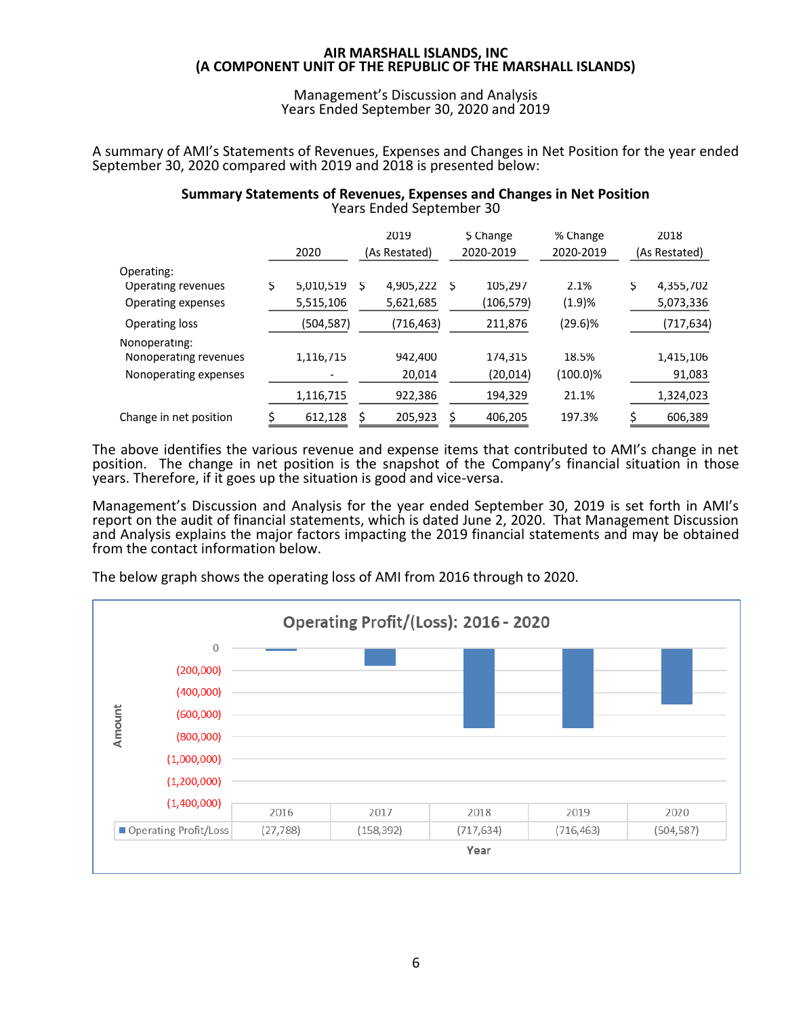Management's Discussion and Analysis Years Ended September 30, 2020 and 2019

A summary of AMI's Statements of Revenues, Expenses and Changes in Net Position for the year ended September 30, 2020 compared with 2019 and 2018 is presented below:

# **Summary Statements of Revenues, Expenses and Changes in Net Position** Years Ended September 30

|                        |   |            |   | 2019          |     | \$ Change | % Change    |   | 2018          |
|------------------------|---|------------|---|---------------|-----|-----------|-------------|---|---------------|
|                        |   | 2020       |   | (As Restated) |     | 2020-2019 | 2020-2019   |   | (As Restated) |
| Operating:             |   |            |   |               |     |           |             |   |               |
| Operating revenues     | S | 5,010,519  | S | 4,905,222     | - S | 105,297   | 2.1%        | S | 4,355,702     |
| Operating expenses     |   | 5,515,106  |   | 5,621,685     |     | (106,579) | (1.9)%      |   | 5,073,336     |
| Operating loss         |   | (504, 587) |   | (716,463)     |     | 211,876   | $(29.6)\%$  |   | (717,634)     |
| Nonoperating:          |   |            |   |               |     |           |             |   |               |
| Nonoperating revenues  |   | 1,116,715  |   | 942,400       |     | 174,315   | 18.5%       |   | 1,415,106     |
| Nonoperating expenses  |   |            |   | 20,014        |     | (20,014)  | $(100.0)\%$ |   | 91,083        |
|                        |   | 1,116,715  |   | 922,386       |     | 194,329   | 21.1%       |   | 1,324,023     |
| Change in net position |   | 612,128    |   | 205,923       | Ś.  | 406,205   | 197.3%      |   | 606,389       |

The above identifies the various revenue and expense items that contributed to AMI's change in net position. The change in net position is the snapshot of the Company's financial situation in those years. Therefore, if it goes up the situation is good and vice-versa.

Management's Discussion and Analysis for the year ended September 30, 2019 is set forth in AMI's report on the audit of financial statements, which is dated June 2, 2020. That Management Discussion and Analysis explains the major factors impacting the 2019 financial statements and may be obtained from the contact information below.

The below graph shows the operating loss of AMI from 2016 through to 2020.

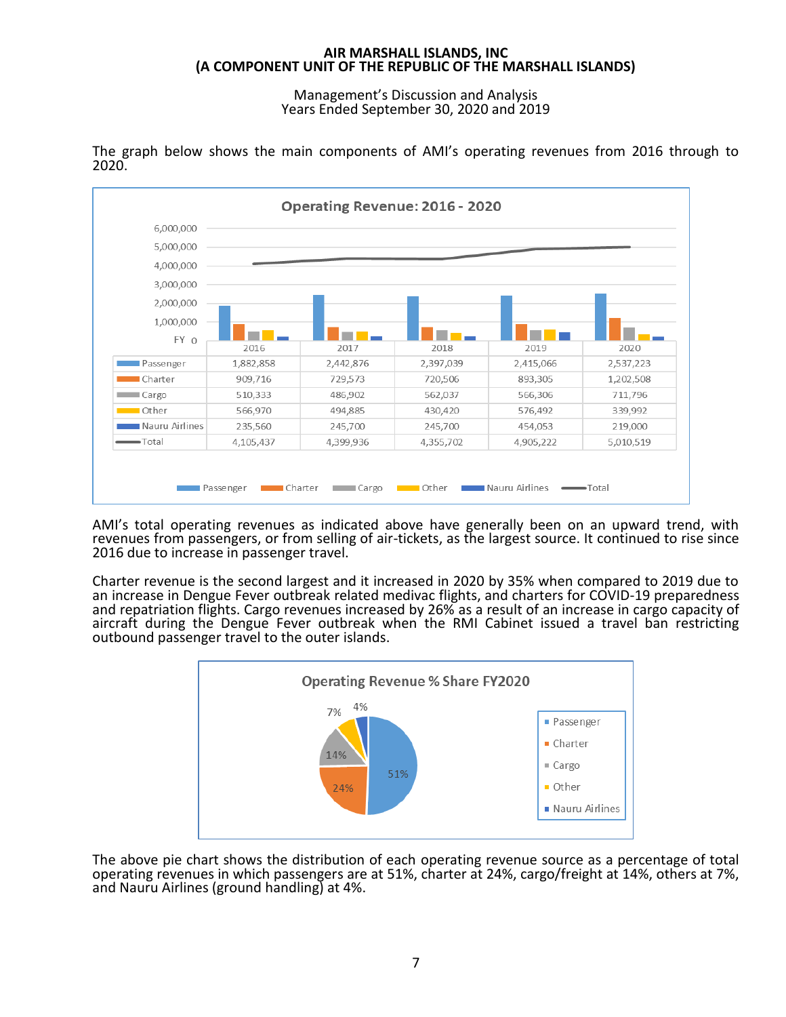Management's Discussion and Analysis Years Ended September 30, 2020 and 2019



The graph below shows the main components of AMI's operating revenues from 2016 through to 2020.

AMI's total operating revenues as indicated above have generally been on an upward trend, with revenues from passengers, or from selling of air-tickets, as the largest source. It continued to rise since 2016 due to increase in passenger travel.

Charter revenue is the second largest and it increased in 2020 by 35% when compared to 2019 due to an increase in Dengue Fever outbreak related medivac flights, and charters for COVID-19 preparedness and repatriation flights. Cargo revenues increased by 26% as a result of an increase in cargo capacity of aircraft during the Dengue Fever outbreak when the RMI Cabinet issued a travel ban restricting outbound passenger travel to the outer islands.



The above pie chart shows the distribution of each operating revenue source as a percentage of total operating revenues in which passengers are at 51%, charter at 24%, cargo/freight at 14%, others at 7%, and Nauru Airlines (ground handling) at 4%.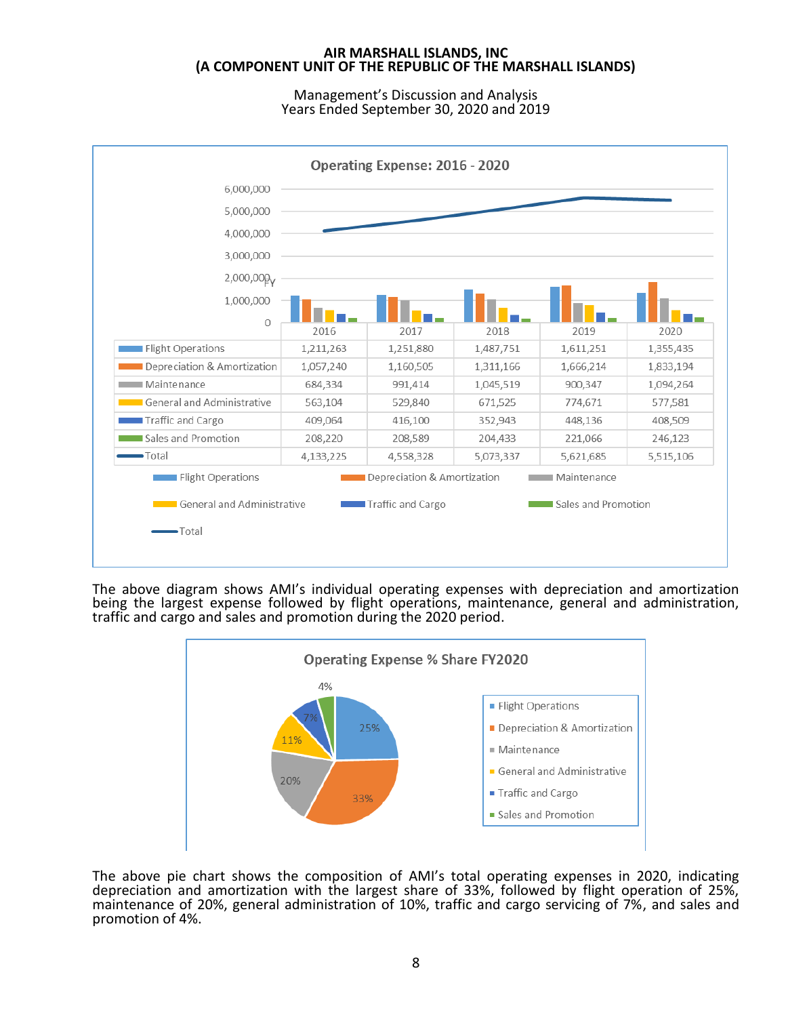Management's Discussion and Analysis Years Ended September 30, 2020 and 2019



The above diagram shows AMI's individual operating expenses with depreciation and amortization being the largest expense followed by flight operations, maintenance, general and administration, traffic and cargo and sales and promotion during the 2020 period.



The above pie chart shows the composition of AMI's total operating expenses in 2020, indicating depreciation and amortization with the largest share of 33%, followed by flight operation of 25%, maintenance of 20%, general administration of 10%, traffic and cargo servicing of 7%, and sales and promotion of 4%.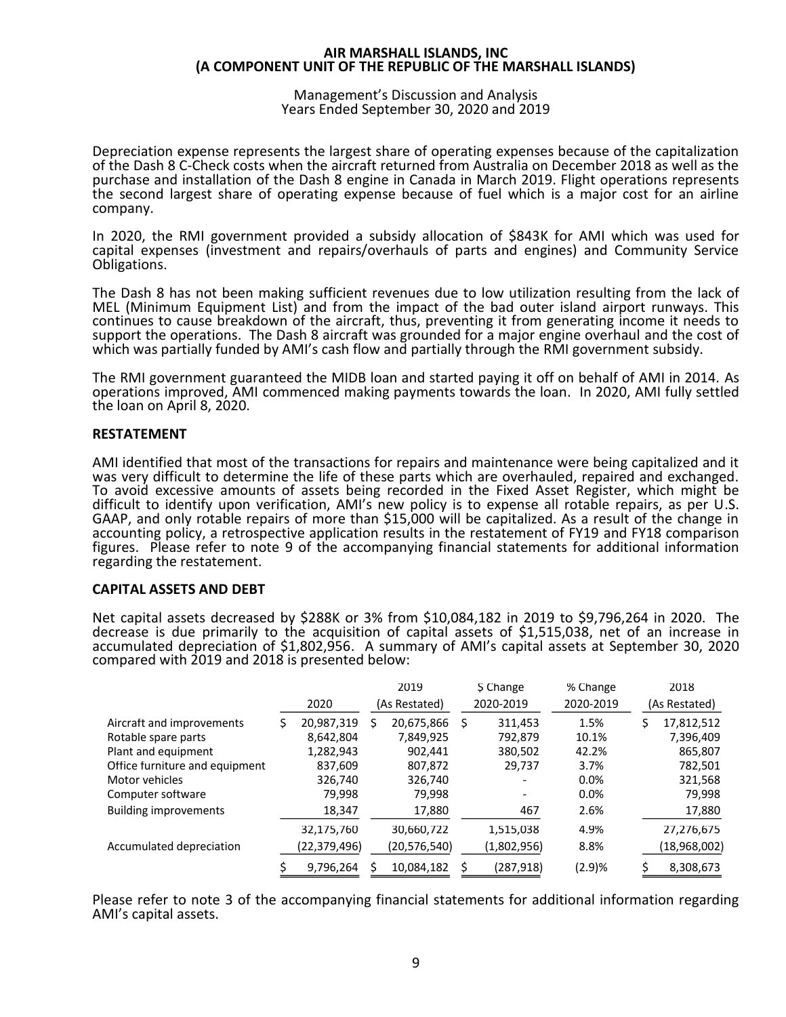#### Management's Discussion and Analysis Years Ended September 30, 2020 and 2019

Depreciation expense represents the largest share of operating expenses because of the capitalization of the Dash 8 C-Check costs when the aircraft returned from Australia on December 2018 as well as the purchase and installation of the Dash 8 engine in Canada in March 2019. Flight operations represents the second largest share of operating expense because of fuel which is a major cost for an airline company.

In 2020, the RMI government provided a subsidy allocation of \$843K for AMI which was used for capital expenses (investment and repairs/overhauls of parts and engines) and Community Service Obligations.

The Dash 8 has not been making sufficient revenues due to low utilization resulting from the lack of MEL (Minimum Equipment List) and from the impact of the bad outer island airport runways. This continues to cause breakdown of the aircraft, thus, preventing it from generating income it needs to support the operations. The Dash 8 aircraft was grounded for a major engine overhaul and the cost of which was partially funded by AMI's cash flow and partially through the RMI government subsidy.

The RMI government guaranteed the MIDB loan and started paying it off on behalf of AMI in 2014. As operations improved, AMI commenced making payments towards the loan. In 2020, AMI fully settled the loan on April 8, 2020.

# **RESTATEMENT**

AMI identified that most of the transactions for repairs and maintenance were being capitalized and it was very difficult to determine the life of these parts which are overhauled, repaired and exchanged. To avoid excessive amounts of assets being recorded in the Fixed Asset Register, which might be difficult to identify upon verification, AMI's new policy is to expense all rotable repairs, as per U.S. GAAP, and only rotable repairs of more than \$15,000 will be capitalized. As a result of the change in accounting policy, a retrospective application results in the restatement of FY19 and FY18 comparison figures. Please refer to note 9 of the accompanying financial statements for additional information regarding the restatement.

# **CAPITAL ASSETS AND DEBT**

Net capital assets decreased by \$288K or 3% from \$10,084,182 in 2019 to \$9,796,264 in 2020. The decrease is due primarily to the acquisition of capital assets of \$1,515,038, net of an increase in accumulated depreciation of \$1,802,956. A summary of AMI's capital assets at September 30, 2020 compared with 2019 and 2018 is presented below:

|                                |                |   | 2019           |   | \$ Change   | % Change  |   | 2018          |
|--------------------------------|----------------|---|----------------|---|-------------|-----------|---|---------------|
|                                | 2020           |   | (As Restated)  |   | 2020-2019   | 2020-2019 |   | (As Restated) |
| Aircraft and improvements      | 20,987,319     | S | 20,675,866     | S | 311,453     | 1.5%      | S | 17,812,512    |
| Rotable spare parts            | 8,642,804      |   | 7,849,925      |   | 792.879     | 10.1%     |   | 7,396,409     |
| Plant and equipment            | 1,282,943      |   | 902,441        |   | 380,502     | 42.2%     |   | 865,807       |
| Office furniture and equipment | 837,609        |   | 807,872        |   | 29,737      | 3.7%      |   | 782,501       |
| Motor vehicles                 | 326,740        |   | 326,740        |   |             | 0.0%      |   | 321,568       |
| Computer software              | 79,998         |   | 79,998         |   |             | $0.0\%$   |   | 79,998        |
| <b>Building improvements</b>   | 18,347         |   | 17,880         |   | 467         | 2.6%      |   | 17,880        |
|                                | 32,175,760     |   | 30,660,722     |   | 1,515,038   | 4.9%      |   | 27,276,675    |
| Accumulated depreciation       | (22, 379, 496) |   | (20, 576, 540) |   | (1,802,956) | 8.8%      |   | (18,968,002)  |
|                                | 9,796,264      |   | 10,084,182     |   | (287,918)   | (2.9)%    |   | 8,308,673     |

Please refer to note 3 of the accompanying financial statements for additional information regarding AMI's capital assets.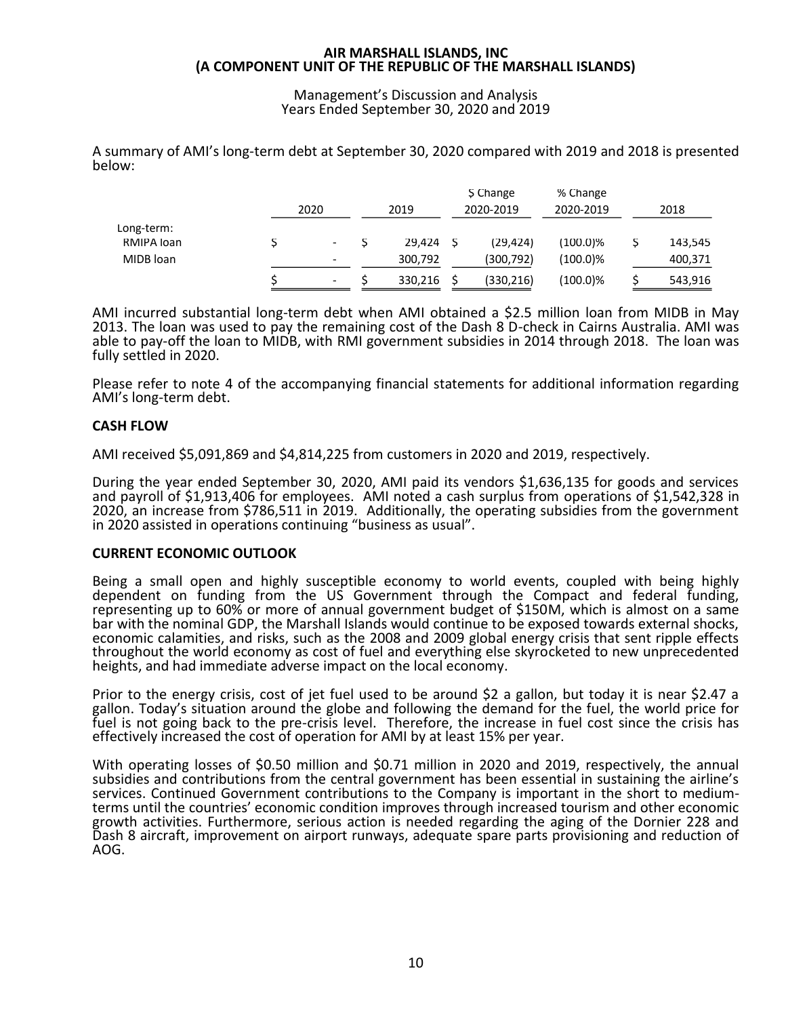Management's Discussion and Analysis Years Ended September 30, 2020 and 2019

A summary of AMI's long-term debt at September 30, 2020 compared with 2019 and 2018 is presented below:

|            | 2020 | 2019    |     | \$ Change<br>2020-2019 | % Change<br>2020-2019 | 2018    |
|------------|------|---------|-----|------------------------|-----------------------|---------|
| Long-term: |      |         |     |                        |                       |         |
| RMIPA loan |      | 29.424  | - S | (29, 424)              | (100.0)%              | 143,545 |
| MIDB loan  | -    | 300,792 |     | (300,792)              | (100.0)%              | 400,371 |
|            | -    | 330,216 |     | (330, 216)             | (100.0)%              | 543,916 |

AMI incurred substantial long-term debt when AMI obtained a \$2.5 million loan from MIDB in May 2013. The loan was used to pay the remaining cost of the Dash 8 D-check in Cairns Australia. AMI was able to pay-off the loan to MIDB, with RMI government subsidies in 2014 through 2018. The loan was fully settled in 2020.

Please refer to note 4 of the accompanying financial statements for additional information regarding AMI's long-term debt.

# **CASH FLOW**

AMI received \$5,091,869 and \$4,814,225 from customers in 2020 and 2019, respectively.

During the year ended September 30, 2020, AMI paid its vendors \$1,636,135 for goods and services and payroll of \$1,913,406 for employees. AMI noted a cash surplus from operations of \$1,542,328 in 2020, an increase from \$786,511 in 2019. Additionally, the operating subsidies from the government in 2020 assisted in operations continuing "business as usual".

# **CURRENT ECONOMIC OUTLOOK**

Being a small open and highly susceptible economy to world events, coupled with being highly dependent on funding from the US Government through the Compact and federal funding, representing up to 60% or more of annual government budget of \$150M, which is almost on a same bar with the nominal GDP, the Marshall Islands would continue to be exposed towards external shocks, economic calamities, and risks, such as the 2008 and 2009 global energy crisis that sent ripple effects throughout the world economy as cost of fuel and everything else skyrocketed to new unprecedented heights, and had immediate adverse impact on the local economy.

Prior to the energy crisis, cost of jet fuel used to be around \$2 a gallon, but today it is near \$2.47 a gallon. Today's situation around the globe and following the demand for the fuel, the world price for fuel is not going back to the pre-crisis level. Therefore, the increase in fuel cost since the crisis has effectively increased the cost of operation for AMI by at least 15% per year.

With operating losses of \$0.50 million and \$0.71 million in 2020 and 2019, respectively, the annual subsidies and contributions from the central government has been essential in sustaining the airline's services. Continued Government contributions to the Company is important in the short to mediumterms until the countries' economic condition improves through increased tourism and other economic growth activities. Furthermore, serious action is needed regarding the aging of the Dornier 228 and Dash 8 aircraft, improvement on airport runways, adequate spare parts provisioning and reduction of AOG.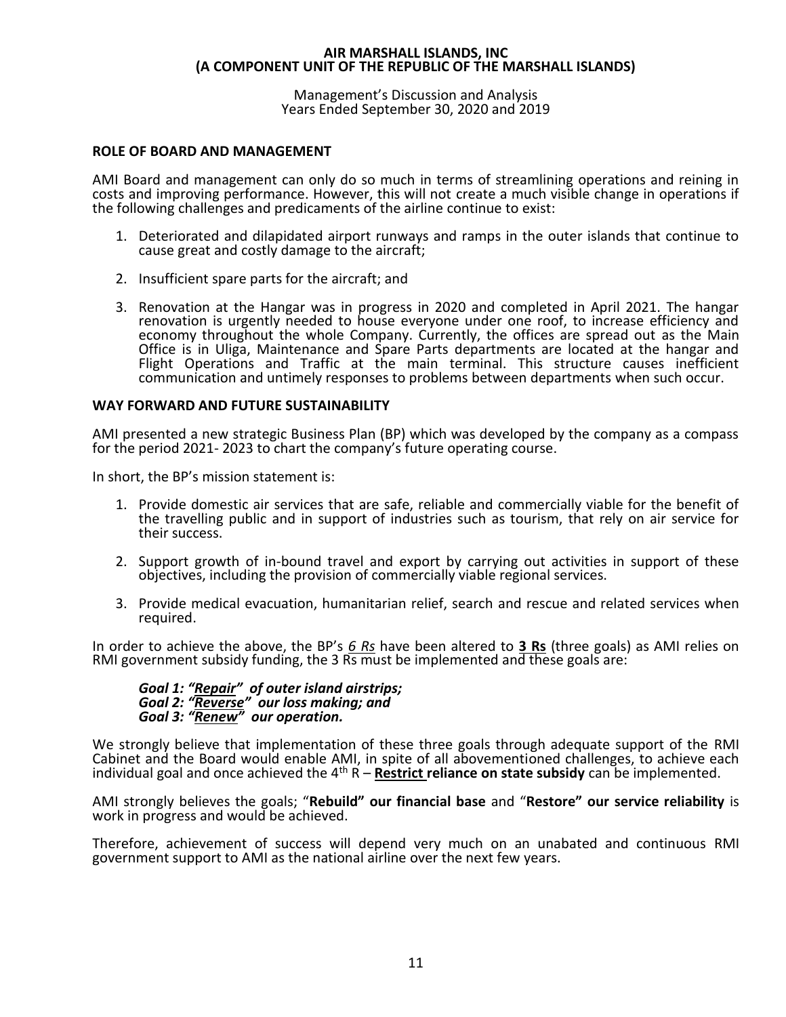Management's Discussion and Analysis Years Ended September 30, 2020 and 2019

# **ROLE OF BOARD AND MANAGEMENT**

AMI Board and management can only do so much in terms of streamlining operations and reining in costs and improving performance. However, this will not create a much visible change in operations if the following challenges and predicaments of the airline continue to exist:

- 1. Deteriorated and dilapidated airport runways and ramps in the outer islands that continue to cause great and costly damage to the aircraft;
- 2. Insufficient spare parts for the aircraft; and
- 3. Renovation at the Hangar was in progress in 2020 and completed in April 2021. The hangar renovation is urgently needed to house everyone under one roof, to increase efficiency and economy throughout the whole Company. Currently, the offices are spread out as the Main Office is in Uliga, Maintenance and Spare Parts departments are located at the hangar and Flight Operations and Traffic at the main terminal. This structure causes inefficient communication and untimely responses to problems between departments when such occur.

# **WAY FORWARD AND FUTURE SUSTAINABILITY**

AMI presented a new strategic Business Plan (BP) which was developed by the company as a compass for the period 2021- 2023 to chart the company's future operating course.

In short, the BP's mission statement is:

- 1. Provide domestic air services that are safe, reliable and commercially viable for the benefit of the travelling public and in support of industries such as tourism, that rely on air service for their success.
- 2. Support growth of in-bound travel and export by carrying out activities in support of these objectives, including the provision of commercially viable regional services.
- 3. Provide medical evacuation, humanitarian relief, search and rescue and related services when required.

In order to achieve the above, the BP's *6 Rs* have been altered to **3 Rs** (three goals) as AMI relies on RMI government subsidy funding, the 3 Rs must be implemented and these goals are:

*Goal 1: "Repair" of outer island airstrips; Goal 2: "Reverse" our loss making; and Goal 3: "Renew" our operation.*

We strongly believe that implementation of these three goals through adequate support of the RMI Cabinet and the Board would enable AMI, in spite of all abovementioned challenges, to achieve each individual goal and once achieved the  $4<sup>th</sup> R$  – **Restrict reliance on state subsidy** can be implemented.

AMI strongly believes the goals; "**Rebuild" our financial base** and "**Restore" our service reliability** is work in progress and would be achieved.

Therefore, achievement of success will depend very much on an unabated and continuous RMI government support to AMI as the national airline over the next few years.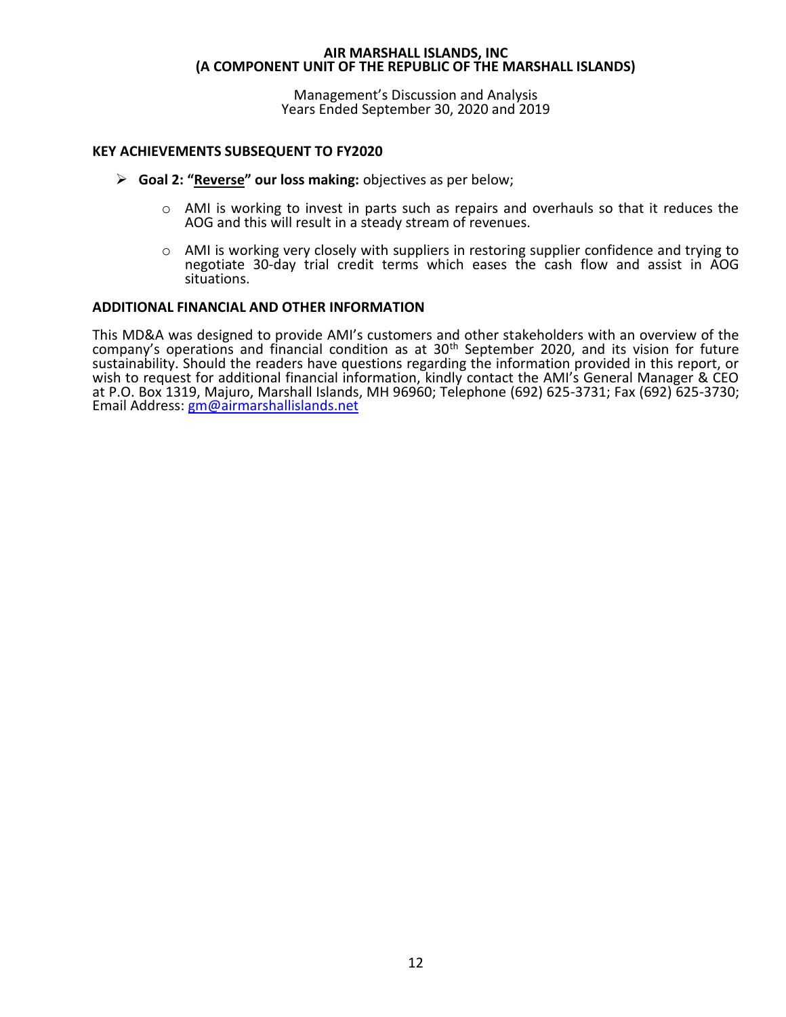Management's Discussion and Analysis Years Ended September 30, 2020 and 2019

# **KEY ACHIEVEMENTS SUBSEQUENT TO FY2020**

- ➢ **Goal 2: "Reverse" our loss making:** objectives as per below;
	- $\circ$  AMI is working to invest in parts such as repairs and overhauls so that it reduces the AOG and this will result in a steady stream of revenues.
	- $\circ$  AMI is working very closely with suppliers in restoring supplier confidence and trying to negotiate 30-day trial credit terms which eases the cash flow and assist in AOG situations.

# **ADDITIONAL FINANCIAL AND OTHER INFORMATION**

This MD&A was designed to provide AMI's customers and other stakeholders with an overview of the company's operations and financial condition as at 30th September 2020, and its vision for future sustainability. Should the readers have questions regarding the information provided in this report, or wish to request for additional financial information, kindly contact the AMI's General Manager & CEO at P.O. Box 1319, Majuro, Marshall Islands, MH 96960; Telephone (692) 625-3731; Fax (692) 625-3730; Email Address: [gm@airmarshallislands.](mailto:gm@airmarshallislands)net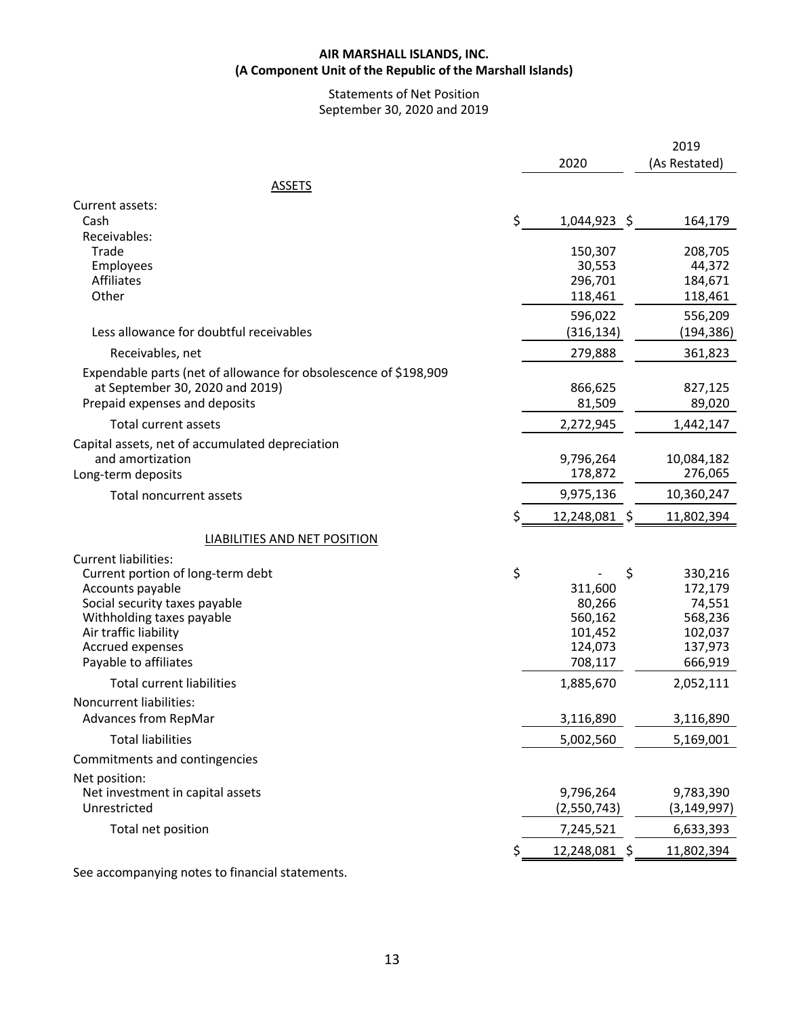# **AIR MARSHALL ISLANDS, INC. (A Component Unit of the Republic of the Marshall Islands)**

# Statements of Net Position September 30, 2020 and 2019

|                                                                                                                                                                                                                   | 2020                                                                      | 2019<br>(As Restated)                                                    |
|-------------------------------------------------------------------------------------------------------------------------------------------------------------------------------------------------------------------|---------------------------------------------------------------------------|--------------------------------------------------------------------------|
| <b>ASSETS</b>                                                                                                                                                                                                     |                                                                           |                                                                          |
| Current assets:<br>Cash                                                                                                                                                                                           | \$<br>$1,044,923$ \$                                                      | 164,179                                                                  |
| Receivables:<br>Trade<br>Employees<br><b>Affiliates</b><br>Other                                                                                                                                                  | 150,307<br>30,553<br>296,701<br>118,461<br>596,022                        | 208,705<br>44,372<br>184,671<br>118,461<br>556,209                       |
| Less allowance for doubtful receivables                                                                                                                                                                           | (316, 134)                                                                | (194,386)                                                                |
| Receivables, net                                                                                                                                                                                                  | 279,888                                                                   | 361,823                                                                  |
| Expendable parts (net of allowance for obsolescence of \$198,909<br>at September 30, 2020 and 2019)<br>Prepaid expenses and deposits                                                                              | 866,625<br>81,509                                                         | 827,125<br>89,020                                                        |
| Total current assets                                                                                                                                                                                              | 2,272,945                                                                 | 1,442,147                                                                |
| Capital assets, net of accumulated depreciation<br>and amortization<br>Long-term deposits                                                                                                                         | 9,796,264<br>178,872                                                      | 10,084,182<br>276,065                                                    |
| Total noncurrent assets                                                                                                                                                                                           | 9,975,136                                                                 | 10,360,247                                                               |
|                                                                                                                                                                                                                   | \$<br>12,248,081 \$                                                       | 11,802,394                                                               |
| <b>LIABILITIES AND NET POSITION</b>                                                                                                                                                                               |                                                                           |                                                                          |
| Current liabilities:<br>Current portion of long-term debt<br>Accounts payable<br>Social security taxes payable<br>Withholding taxes payable<br>Air traffic liability<br>Accrued expenses<br>Payable to affiliates | \$<br>\$<br>311,600<br>80,266<br>560,162<br>101,452<br>124,073<br>708,117 | 330,216<br>172,179<br>74,551<br>568,236<br>102,037<br>137,973<br>666,919 |
| <b>Total current liabilities</b>                                                                                                                                                                                  | 1,885,670                                                                 | 2,052,111                                                                |
| Noncurrent liabilities:<br>Advances from RepMar                                                                                                                                                                   | 3,116,890                                                                 | 3,116,890                                                                |
| <b>Total liabilities</b>                                                                                                                                                                                          | 5,002,560                                                                 | 5,169,001                                                                |
| Commitments and contingencies                                                                                                                                                                                     |                                                                           |                                                                          |
| Net position:<br>Net investment in capital assets<br>Unrestricted                                                                                                                                                 | 9,796,264<br>(2,550,743)                                                  | 9,783,390<br>(3, 149, 997)                                               |
| Total net position                                                                                                                                                                                                | 7,245,521                                                                 | 6,633,393                                                                |
|                                                                                                                                                                                                                   | 12,248,081 \$                                                             | 11,802,394                                                               |

See accompanying notes to financial statements.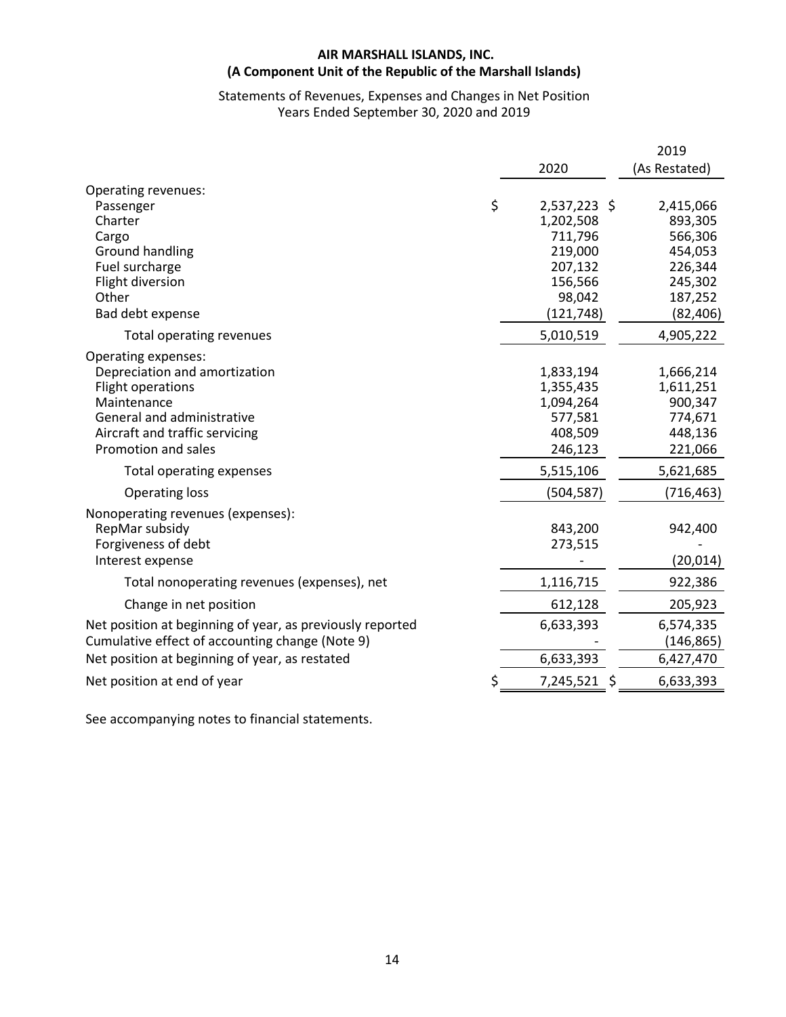# **AIR MARSHALL ISLANDS, INC. (A Component Unit of the Republic of the Marshall Islands)**

# Statements of Revenues, Expenses and Changes in Net Position Years Ended September 30, 2020 and 2019

|                                                           |                    | 2019          |
|-----------------------------------------------------------|--------------------|---------------|
|                                                           | 2020               | (As Restated) |
| Operating revenues:                                       |                    |               |
| Passenger                                                 | \$<br>2,537,223 \$ | 2,415,066     |
| Charter                                                   | 1,202,508          | 893,305       |
| Cargo                                                     | 711,796            | 566,306       |
| Ground handling                                           | 219,000            | 454,053       |
| Fuel surcharge                                            | 207,132            | 226,344       |
| Flight diversion                                          | 156,566            | 245,302       |
| Other                                                     | 98,042             | 187,252       |
| Bad debt expense                                          | (121, 748)         | (82, 406)     |
| Total operating revenues                                  | 5,010,519          | 4,905,222     |
| Operating expenses:                                       |                    |               |
| Depreciation and amortization                             | 1,833,194          | 1,666,214     |
| Flight operations                                         | 1,355,435          | 1,611,251     |
| Maintenance                                               | 1,094,264          | 900,347       |
| General and administrative                                | 577,581            | 774,671       |
| Aircraft and traffic servicing                            | 408,509            | 448,136       |
| Promotion and sales                                       | 246,123            | 221,066       |
| Total operating expenses                                  | 5,515,106          | 5,621,685     |
| <b>Operating loss</b>                                     | (504, 587)         | (716, 463)    |
| Nonoperating revenues (expenses):                         |                    |               |
| RepMar subsidy                                            | 843,200            | 942,400       |
| Forgiveness of debt                                       | 273,515            |               |
| Interest expense                                          |                    | (20, 014)     |
| Total nonoperating revenues (expenses), net               | 1,116,715          | 922,386       |
| Change in net position                                    | 612,128            | 205,923       |
| Net position at beginning of year, as previously reported | 6,633,393          | 6,574,335     |
| Cumulative effect of accounting change (Note 9)           |                    | (146, 865)    |
| Net position at beginning of year, as restated            | 6,633,393          | 6,427,470     |
| Net position at end of year                               | \$<br>7,245,521    | 6,633,393     |

See accompanying notes to financial statements.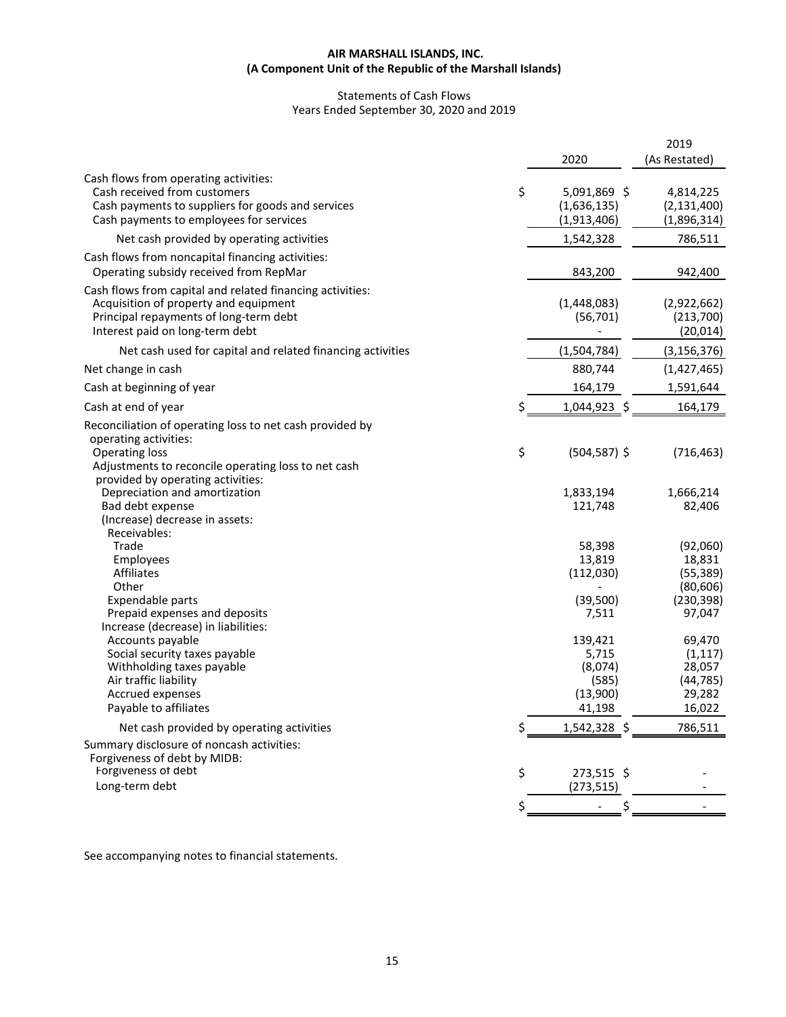#### **AIR MARSHALL ISLANDS, INC. (A Component Unit of the Republic of the Marshall Islands)**

# Statements of Cash Flows Years Ended September 30, 2020 and 2019

|                                                                                                    |    | 2020             | 2019<br>(As Restated) |
|----------------------------------------------------------------------------------------------------|----|------------------|-----------------------|
|                                                                                                    |    |                  |                       |
| Cash flows from operating activities:<br>Cash received from customers                              | \$ | 5,091,869 \$     | 4,814,225             |
| Cash payments to suppliers for goods and services                                                  |    | (1,636,135)      | (2, 131, 400)         |
| Cash payments to employees for services                                                            |    | (1,913,406)      | (1,896,314)           |
| Net cash provided by operating activities                                                          |    | 1,542,328        | 786,511               |
| Cash flows from noncapital financing activities:<br>Operating subsidy received from RepMar         |    | 843,200          | 942,400               |
| Cash flows from capital and related financing activities:<br>Acquisition of property and equipment |    | (1,448,083)      | (2,922,662)           |
| Principal repayments of long-term debt                                                             |    | (56, 701)        | (213,700)             |
| Interest paid on long-term debt                                                                    |    |                  | (20, 014)             |
| Net cash used for capital and related financing activities                                         |    | (1,504,784)      | (3, 156, 376)         |
| Net change in cash                                                                                 |    | 880,744          | (1,427,465)           |
| Cash at beginning of year                                                                          |    | 164,179          | 1,591,644             |
| Cash at end of year                                                                                | Ś  | 1,044,923 \$     | 164,179               |
| Reconciliation of operating loss to net cash provided by                                           |    |                  |                       |
| operating activities:                                                                              |    |                  |                       |
| <b>Operating loss</b>                                                                              | \$ | $(504, 587)$ \$  | (716, 463)            |
| Adjustments to reconcile operating loss to net cash                                                |    |                  |                       |
| provided by operating activities:                                                                  |    |                  |                       |
| Depreciation and amortization                                                                      |    | 1,833,194        | 1,666,214             |
| Bad debt expense                                                                                   |    | 121,748          | 82,406                |
| (Increase) decrease in assets:<br>Receivables:                                                     |    |                  |                       |
| Trade                                                                                              |    | 58,398           | (92,060)              |
| Employees                                                                                          |    | 13,819           | 18,831                |
| Affiliates                                                                                         |    | (112,030)        | (55, 389)             |
| Other                                                                                              |    |                  | (80, 606)             |
| Expendable parts                                                                                   |    | (39, 500)        | (230, 398)            |
| Prepaid expenses and deposits                                                                      |    | 7,511            | 97,047                |
| Increase (decrease) in liabilities:                                                                |    |                  |                       |
| Accounts payable                                                                                   |    | 139,421          | 69,470                |
| Social security taxes payable                                                                      |    | 5,715            | (1, 117)              |
| Withholding taxes payable<br>Air traffic liability                                                 |    | (8,074)<br>(585) | 28,057<br>(44, 785)   |
| Accrued expenses                                                                                   |    | (13,900)         | 29,282                |
| Payable to affiliates                                                                              |    | 41,198           | 16,022                |
| Net cash provided by operating activities                                                          | \$ | 1,542,328 \$     | 786,511               |
| Summary disclosure of noncash activities:                                                          |    |                  |                       |
| Forgiveness of debt by MIDB:                                                                       |    |                  |                       |
| Forgiveness of debt                                                                                | \$ | 273,515 \$       |                       |
| Long-term debt                                                                                     |    | (273, 515)       |                       |
|                                                                                                    |    |                  |                       |
|                                                                                                    |    |                  |                       |

See accompanying notes to financial statements.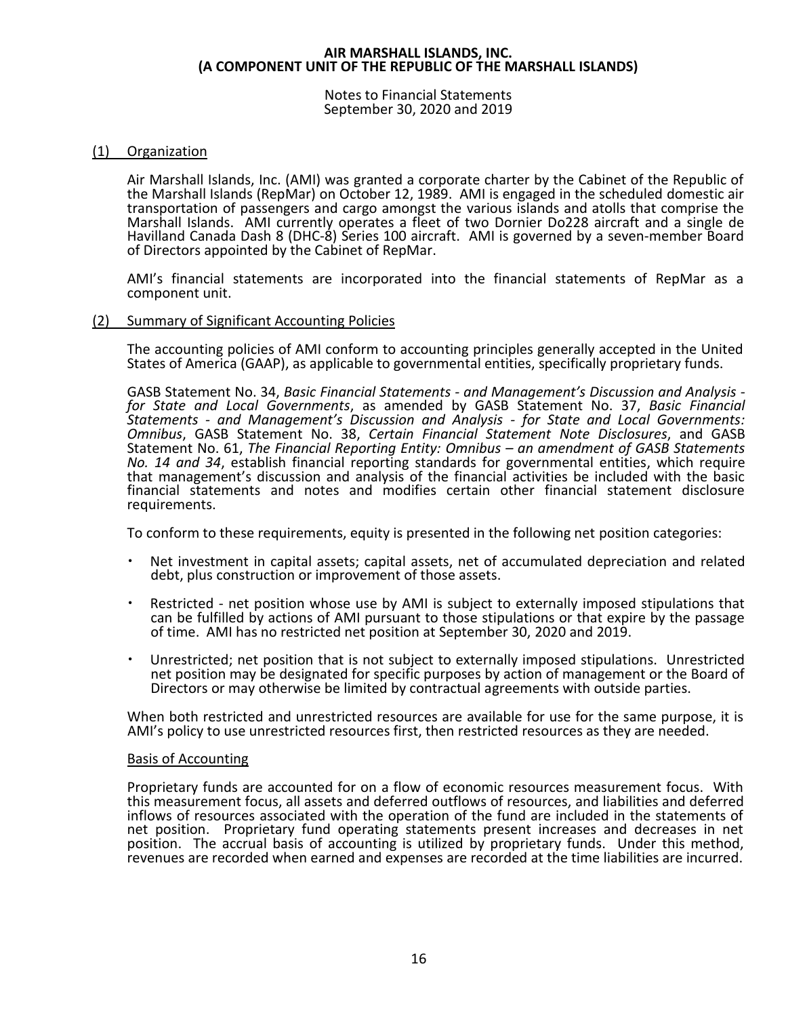Notes to Financial Statements September 30, 2020 and 2019

# (1) Organization

Air Marshall Islands, Inc. (AMI) was granted a corporate charter by the Cabinet of the Republic of the Marshall Islands (RepMar) on October 12, 1989. AMI is engaged in the scheduled domestic air transportation of passengers and cargo amongst the various islands and atolls that comprise the Marshall Islands. AMI currently operates a fleet of two Dornier Do228 aircraft and a single de Havilland Canada Dash 8 (DHC-8) Series 100 aircraft. AMI is governed by a seven-member Board of Directors appointed by the Cabinet of RepMar.

AMI's financial statements are incorporated into the financial statements of RepMar as a component unit.

#### (2) Summary of Significant Accounting Policies

The accounting policies of AMI conform to accounting principles generally accepted in the United States of America (GAAP), as applicable to governmental entities, specifically proprietary funds.

GASB Statement No. 34, *Basic Financial Statements - and Management's Discussion and Analysis for State and Local Governments*, as amended by GASB Statement No. 37, *Basic Financial Statements - and Management's Discussion and Analysis - for State and Local Governments: Omnibus*, GASB Statement No. 38, *Certain Financial Statement Note Disclosures*, and GASB Statement No. 61, *The Financial Reporting Entity: Omnibus – an amendment of GASB Statements No. 14 and 34*, establish financial reporting standards for governmental entities, which require that management's discussion and analysis of the financial activities be included with the basic financial statements and notes and modifies certain other financial statement disclosure requirements.

To conform to these requirements, equity is presented in the following net position categories:

- Net investment in capital assets; capital assets, net of accumulated depreciation and related debt, plus construction or improvement of those assets.
- Restricted net position whose use by AMI is subject to externally imposed stipulations that can be fulfilled by actions of AMI pursuant to those stipulations or that expire by the passage of time. AMI has no restricted net position at September 30, 2020 and 2019.
- Unrestricted; net position that is not subject to externally imposed stipulations. Unrestricted net position may be designated for specific purposes by action of management or the Board of Directors or may otherwise be limited by contractual agreements with outside parties.

When both restricted and unrestricted resources are available for use for the same purpose, it is AMI's policy to use unrestricted resources first, then restricted resources as they are needed.

#### Basis of Accounting

Proprietary funds are accounted for on a flow of economic resources measurement focus. With this measurement focus, all assets and deferred outflows of resources, and liabilities and deferred inflows of resources associated with the operation of the fund are included in the statements of net position. Proprietary fund operating statements present increases and decreases in net position. The accrual basis of accounting is utilized by proprietary funds. Under this method, revenues are recorded when earned and expenses are recorded at the time liabilities are incurred.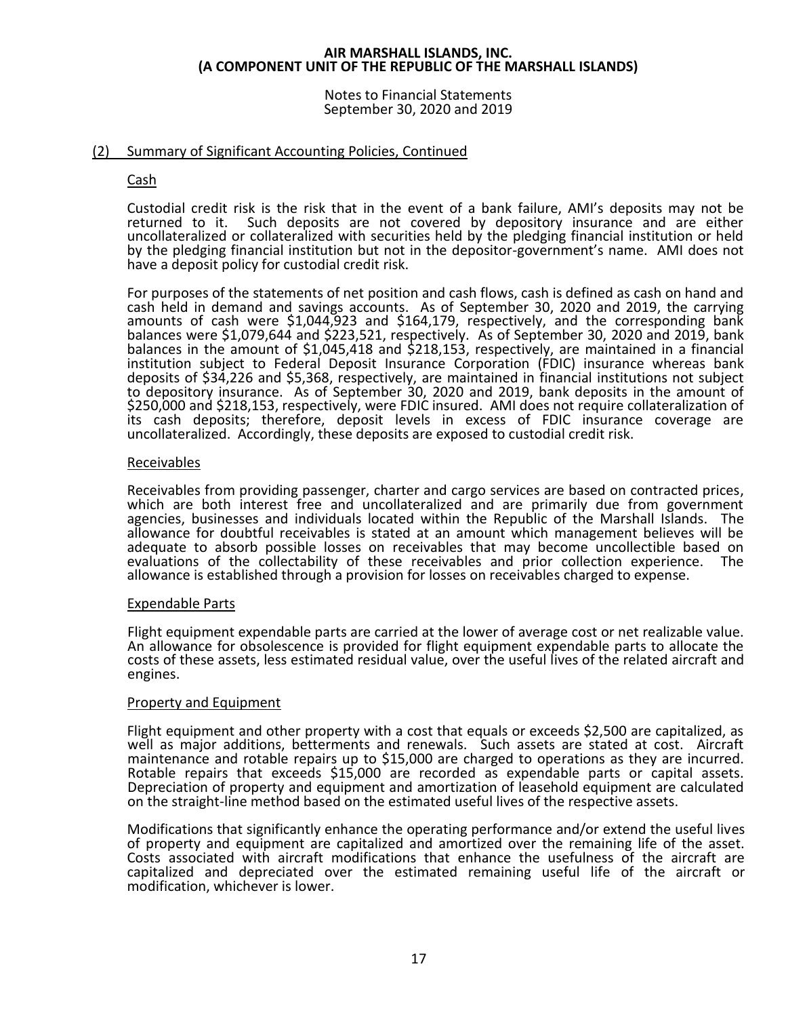Notes to Financial Statements September 30, 2020 and 2019

# (2) Summary of Significant Accounting Policies, Continued

# Cash

Custodial credit risk is the risk that in the event of a bank failure, AMI's deposits may not be returned to it. Such deposits are not covered by depository insurance and are either uncollateralized or collateralized with securities held by the pledging financial institution or held by the pledging financial institution but not in the depositor-government's name. AMI does not have a deposit policy for custodial credit risk.

For purposes of the statements of net position and cash flows, cash is defined as cash on hand and cash held in demand and savings accounts. As of September 30, 2020 and 2019, the carrying amounts of cash were \$1,044,923 and \$164,179, respectively, and the corresponding bank balances were \$1,079,644 and \$223,521, respectively. As of September 30, 2020 and 2019, bank balances in the amount of \$1,045,418 and \$218,153, respectively, are maintained in a financial institution subject to Federal Deposit Insurance Corporation (FDIC) insurance whereas bank deposits of \$34,226 and \$5,368, respectively, are maintained in financial institutions not subject to depository insurance. As of September 30, 2020 and 2019, bank deposits in the amount of \$250,000 and \$218,153, respectively, were FDIC insured. AMI does not require collateralization of its cash deposits; therefore, deposit levels in excess of FDIC insurance coverage are uncollateralized. Accordingly, these deposits are exposed to custodial credit risk.

# Receivables

Receivables from providing passenger, charter and cargo services are based on contracted prices, which are both interest free and uncollateralized and are primarily due from government agencies, businesses and individuals located within the Republic of the Marshall Islands. The allowance for doubtful receivables is stated at an amount which management believes will be adequate to absorb possible losses on receivables that may become uncollectible based on evaluations of the collectability of these receivables and prior collection experience. The allowance is established through a provision for losses on receivables charged to expense.

# Expendable Parts

Flight equipment expendable parts are carried at the lower of average cost or net realizable value. An allowance for obsolescence is provided for flight equipment expendable parts to allocate the costs of these assets, less estimated residual value, over the useful lives of the related aircraft and engines.

# Property and Equipment

Flight equipment and other property with a cost that equals or exceeds \$2,500 are capitalized, as well as major additions, betterments and renewals. Such assets are stated at cost. Aircraft maintenance and rotable repairs up to \$15,000 are charged to operations as they are incurred. Rotable repairs that exceeds \$15,000 are recorded as expendable parts or capital assets. Depreciation of property and equipment and amortization of leasehold equipment are calculated on the straight-line method based on the estimated useful lives of the respective assets.

Modifications that significantly enhance the operating performance and/or extend the useful lives of property and equipment are capitalized and amortized over the remaining life of the asset. Costs associated with aircraft modifications that enhance the usefulness of the aircraft are capitalized and depreciated over the estimated remaining useful life of the aircraft or modification, whichever is lower.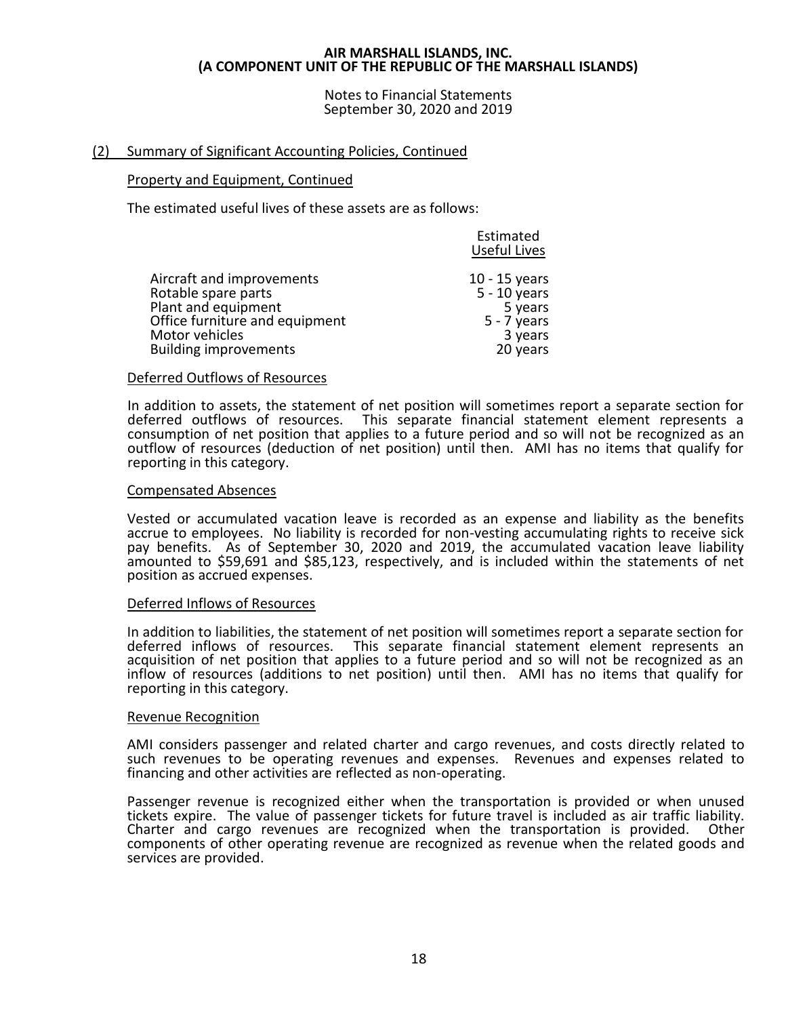Notes to Financial Statements September 30, 2020 and 2019

# (2) Summary of Significant Accounting Policies, Continued

# Property and Equipment, Continued

The estimated useful lives of these assets are as follows:

|                                | Estimated<br><b>Useful Lives</b> |
|--------------------------------|----------------------------------|
| Aircraft and improvements      | $10 - 15$ years                  |
| Rotable spare parts            | $5 - 10$ years                   |
| Plant and equipment            | 5 years                          |
| Office furniture and equipment | $5 - 7$ years                    |
| Motor vehicles                 | 3 years                          |
| <b>Building improvements</b>   | 20 years                         |

# Deferred Outflows of Resources

In addition to assets, the statement of net position will sometimes report a separate section for deferred outflows of resources. This separate financial statement element represents a consumption of net position that applies to a future period and so will not be recognized as an outflow of resources (deduction of net position) until then. AMI has no items that qualify for reporting in this category.

#### Compensated Absences

Vested or accumulated vacation leave is recorded as an expense and liability as the benefits accrue to employees. No liability is recorded for non-vesting accumulating rights to receive sick pay benefits. As of September 30, 2020 and 2019, the accumulated vacation leave liability amounted to \$59,691 and \$85,123, respectively, and is included within the statements of net position as accrued expenses.

#### Deferred Inflows of Resources

In addition to liabilities, the statement of net position will sometimes report a separate section for deferred inflows of resources. This separate financial statement element represents an acquisition of net position that applies to a future period and so will not be recognized as an inflow of resources (additions to net position) until then. AMI has no items that qualify for reporting in this category.

#### Revenue Recognition

AMI considers passenger and related charter and cargo revenues, and costs directly related to such revenues to be operating revenues and expenses. Revenues and expenses related to financing and other activities are reflected as non-operating.

Passenger revenue is recognized either when the transportation is provided or when unused tickets expire. The value of passenger tickets for future travel is included as air traffic liability. Charter and cargo revenues are recognized when the transportation is provided. Other components of other operating revenue are recognized as revenue when the related goods and services are provided.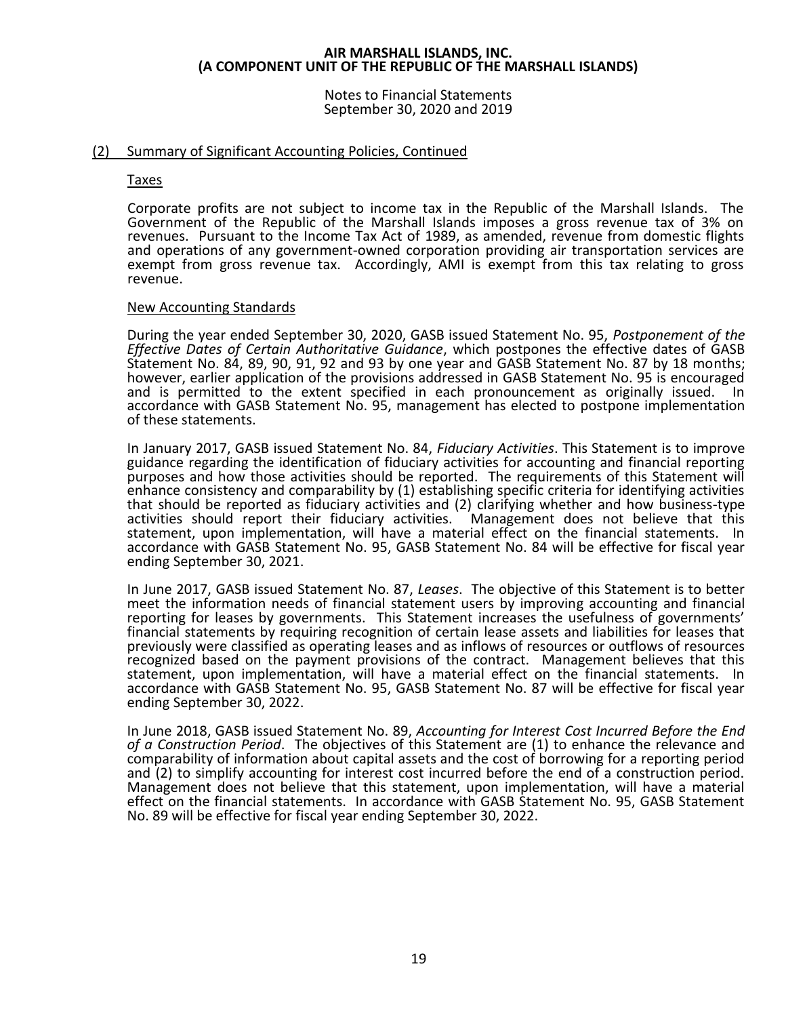Notes to Financial Statements September 30, 2020 and 2019

# (2) Summary of Significant Accounting Policies, Continued

#### Taxes

Corporate profits are not subject to income tax in the Republic of the Marshall Islands. The Government of the Republic of the Marshall Islands imposes a gross revenue tax of 3% on revenues. Pursuant to the Income Tax Act of 1989, as amended, revenue from domestic flights and operations of any government-owned corporation providing air transportation services are exempt from gross revenue tax. Accordingly, AMI is exempt from this tax relating to gross revenue.

#### New Accounting Standards

During the year ended September 30, 2020, GASB issued Statement No. 95, *Postponement of the Effective Dates of Certain Authoritative Guidance*, which postpones the effective dates of GASB Statement No. 84, 89, 90, 91, 92 and 93 by one year and GASB Statement No. 87 by 18 months; however, earlier application of the provisions addressed in GASB Statement No. 95 is encouraged and is permitted to the extent specified in each pronouncement as originally issued. accordance with GASB Statement No. 95, management has elected to postpone implementation of these statements.

In January 2017, GASB issued Statement No. 84, *Fiduciary Activities*. This Statement is to improve guidance regarding the identification of fiduciary activities for accounting and financial reporting purposes and how those activities should be reported. The requirements of this Statement will enhance consistency and comparability by (1) establishing specific criteria for identifying activities that should be reported as fiduciary activities and (2) clarifying whether and how business-type activities should report their fiduciary activities. Management does not believe that this statement, upon implementation, will have a material effect on the financial statements. In accordance with GASB Statement No. 95, GASB Statement No. 84 will be effective for fiscal year ending September 30, 2021.

In June 2017, GASB issued Statement No. 87, *Leases*. The objective of this Statement is to better meet the information needs of financial statement users by improving accounting and financial reporting for leases by governments. This Statement increases the usefulness of governments' financial statements by requiring recognition of certain lease assets and liabilities for leases that previously were classified as operating leases and as inflows of resources or outflows of resources recognized based on the payment provisions of the contract. Management believes that this statement, upon implementation, will have a material effect on the financial statements. In accordance with GASB Statement No. 95, GASB Statement No. 87 will be effective for fiscal year ending September 30, 2022.

In June 2018, GASB issued Statement No. 89, *Accounting for Interest Cost Incurred Before the End of a Construction Period*. The objectives of this Statement are (1) to enhance the relevance and comparability of information about capital assets and the cost of borrowing for a reporting period and (2) to simplify accounting for interest cost incurred before the end of a construction period. Management does not believe that this statement, upon implementation, will have a material effect on the financial statements. In accordance with GASB Statement No. 95, GASB Statement No. 89 will be effective for fiscal year ending September 30, 2022.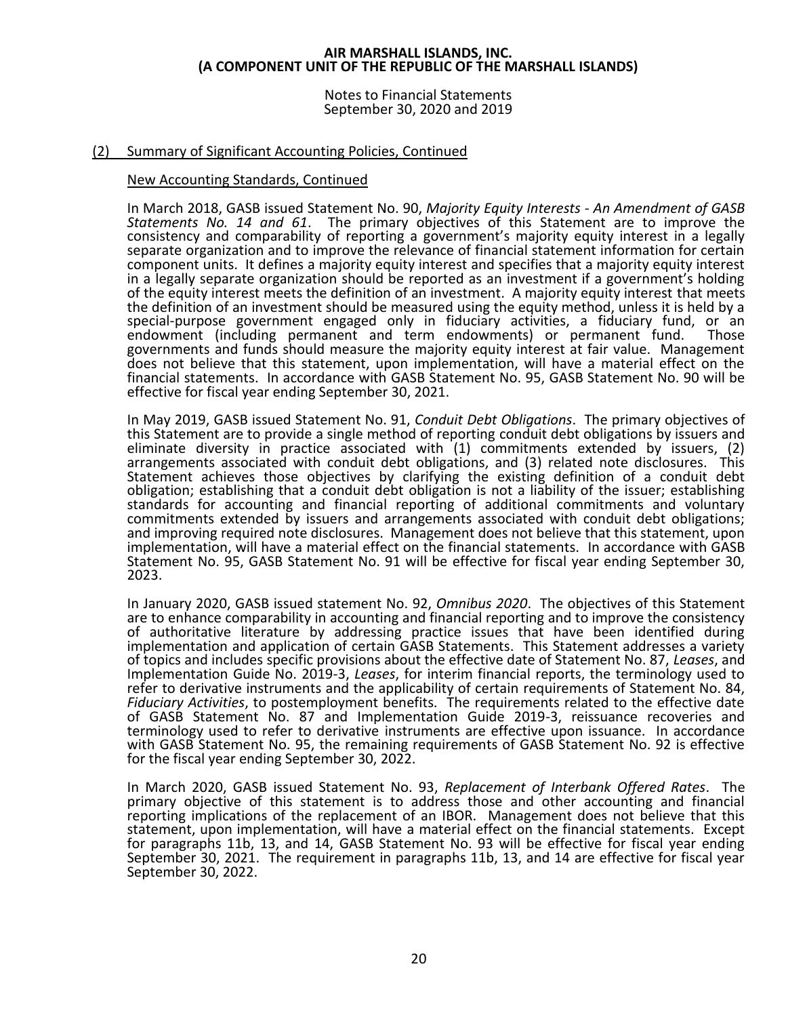Notes to Financial Statements September 30, 2020 and 2019

# (2) Summary of Significant Accounting Policies, Continued

#### New Accounting Standards, Continued

In March 2018, GASB issued Statement No. 90, *Majority Equity Interests - An Amendment of GASB Statements No. 14 and 61*. The primary objectives of this Statement are to improve the consistency and comparability of reporting a government's majority equity interest in a legally separate organization and to improve the relevance of financial statement information for certain component units. It defines a majority equity interest and specifies that a majority equity interest in a legally separate organization should be reported as an investment if a government's holding of the equity interest meets the definition of an investment. A majority equity interest that meets the definition of an investment should be measured using the equity method, unless it is held by a special-purpose government engaged only in fiduciary activities, a fiduciary fund, or an<br>endowment (including permanent and term endowments) or permanent fund. Those endowment (including permanent and term endowments) or permanent fund. governments and funds should measure the majority equity interest at fair value. Management does not believe that this statement, upon implementation, will have a material effect on the financial statements. In accordance with GASB Statement No. 95, GASB Statement No. 90 will be effective for fiscal year ending September 30, 2021.

In May 2019, GASB issued Statement No. 91, *Conduit Debt Obligations*. The primary objectives of this Statement are to provide a single method of reporting conduit debt obligations by issuers and eliminate diversity in practice associated with (1) commitments extended by issuers, (2) arrangements associated with conduit debt obligations, and (3) related note disclosures. This Statement achieves those objectives by clarifying the existing definition of a conduit debt obligation; establishing that a conduit debt obligation is not a liability of the issuer; establishing standards for accounting and financial reporting of additional commitments and voluntary commitments extended by issuers and arrangements associated with conduit debt obligations; and improving required note disclosures. Management does not believe that this statement, upon implementation, will have a material effect on the financial statements. In accordance with GASB Statement No. 95, GASB Statement No. 91 will be effective for fiscal year ending September 30, 2023.

In January 2020, GASB issued statement No. 92, *Omnibus 2020*. The objectives of this Statement are to enhance comparability in accounting and financial reporting and to improve the consistency of authoritative literature by addressing practice issues that have been identified during implementation and application of certain GASB Statements. This Statement addresses a variety of topics and includes specific provisions about the effective date of Statement No. 87, *Leases*, and Implementation Guide No. 2019-3, *Leases*, for interim financial reports, the terminology used to refer to derivative instruments and the applicability of certain requirements of Statement No. 84, *Fiduciary Activities*, to postemployment benefits. The requirements related to the effective date of GASB Statement No. 87 and Implementation Guide 2019-3, reissuance recoveries and terminology used to refer to derivative instruments are effective upon issuance. In accordance with GASB Statement No. 95, the remaining requirements of GASB Statement No. 92 is effective for the fiscal year ending September 30, 2022.

In March 2020, GASB issued Statement No. 93, *Replacement of Interbank Offered Rates*. The primary objective of this statement is to address those and other accounting and financial reporting implications of the replacement of an IBOR. Management does not believe that this statement, upon implementation, will have a material effect on the financial statements. Except for paragraphs 11b, 13, and 14, GASB Statement No. 93 will be effective for fiscal year ending September 30, 2021. The requirement in paragraphs 11b, 13, and 14 are effective for fiscal year September 30, 2022.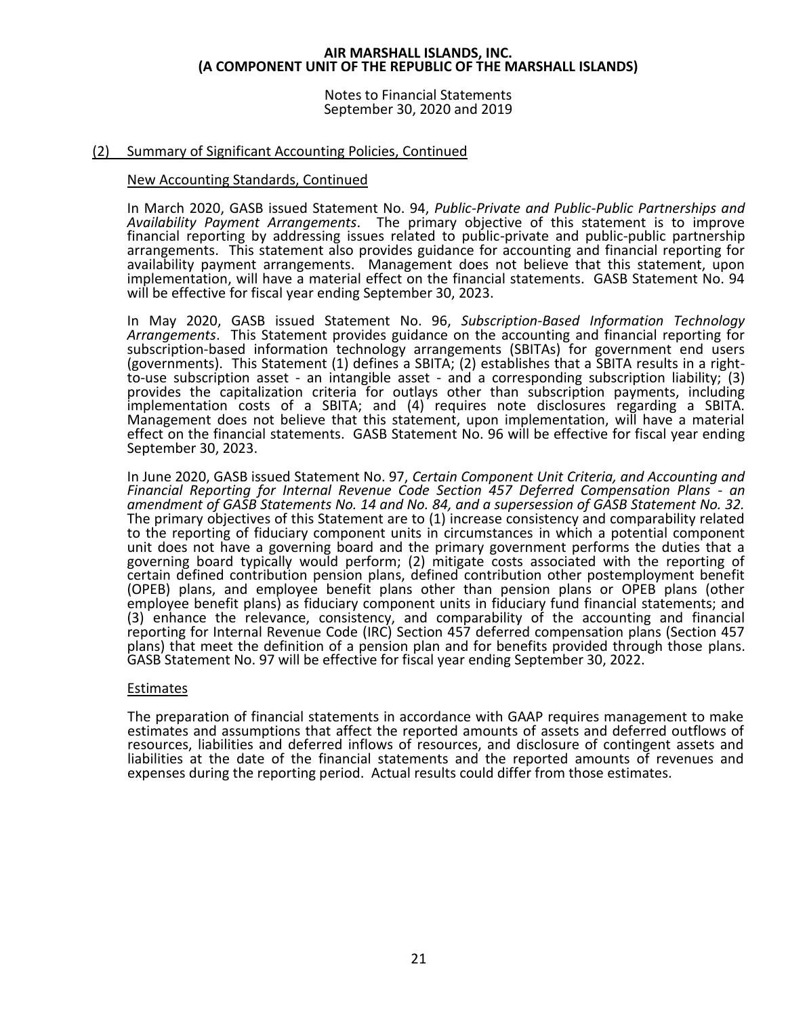Notes to Financial Statements September 30, 2020 and 2019

# (2) Summary of Significant Accounting Policies, Continued

# New Accounting Standards, Continued

In March 2020, GASB issued Statement No. 94, *Public-Private and Public-Public Partnerships and Availability Payment Arrangements*. The primary objective of this statement is to improve financial reporting by addressing issues related to public-private and public-public partnership arrangements. This statement also provides guidance for accounting and financial reporting for availability payment arrangements. Management does not believe that this statement, upon implementation, will have a material effect on the financial statements. GASB Statement No. 94 will be effective for fiscal year ending September 30, 2023.

In May 2020, GASB issued Statement No. 96, *Subscription-Based Information Technology Arrangements*. This Statement provides guidance on the accounting and financial reporting for subscription-based information technology arrangements (SBITAs) for government end users (governments). This Statement (1) defines a SBITA; (2) establishes that a SBITA results in a rightto-use subscription asset - an intangible asset - and a corresponding subscription liability; (3) provides the capitalization criteria for outlays other than subscription payments, including implementation costs of a SBITA; and (4) requires note disclosures regarding a SBITA. Management does not believe that this statement, upon implementation, will have a material effect on the financial statements. GASB Statement No. 96 will be effective for fiscal year ending September 30, 2023.

In June 2020, GASB issued Statement No. 97, *Certain Component Unit Criteria, and Accounting and Financial Reporting for Internal Revenue Code Section 457 Deferred Compensation Plans - an amendment of GASB Statements No. 14 and No. 84, and a supersession of GASB Statement No. 32.* The primary objectives of this Statement are to (1) increase consistency and comparability related to the reporting of fiduciary component units in circumstances in which a potential component unit does not have a governing board and the primary government performs the duties that a governing board typically would perform; (2) mitigate costs associated with the reporting of certain defined contribution pension plans, defined contribution other postemployment benefit (OPEB) plans, and employee benefit plans other than pension plans or OPEB plans (other employee benefit plans) as fiduciary component units in fiduciary fund financial statements; and (3) enhance the relevance, consistency, and comparability of the accounting and financial reporting for Internal Revenue Code (IRC) Section 457 deferred compensation plans (Section 457 plans) that meet the definition of a pension plan and for benefits provided through those plans. GASB Statement No. 97 will be effective for fiscal year ending September 30, 2022.

# Estimates

The preparation of financial statements in accordance with GAAP requires management to make estimates and assumptions that affect the reported amounts of assets and deferred outflows of resources, liabilities and deferred inflows of resources, and disclosure of contingent assets and liabilities at the date of the financial statements and the reported amounts of revenues and expenses during the reporting period. Actual results could differ from those estimates.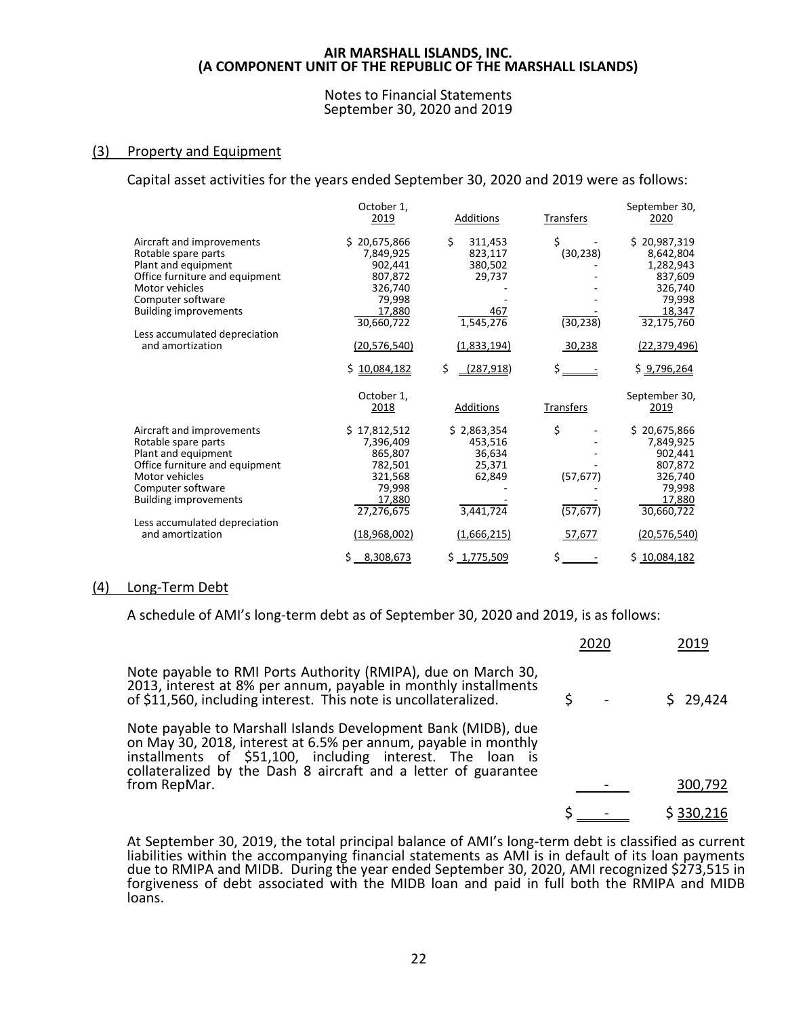#### Notes to Financial Statements September 30, 2020 and 2019

# (3) Property and Equipment

Capital asset activities for the years ended September 30, 2020 and 2019 were as follows:

|                                                   | October 1.<br>2019 | Additions        | Transfers | September 30,<br>2020 |
|---------------------------------------------------|--------------------|------------------|-----------|-----------------------|
| Aircraft and improvements                         | \$20,675,866       | \$<br>311,453    | \$        | \$20,987,319          |
| Rotable spare parts                               | 7,849,925          | 823,117          | (30, 238) | 8,642,804             |
| Plant and equipment                               | 902,441            | 380,502          |           | 1,282,943             |
| Office furniture and equipment                    | 807,872            | 29,737           |           | 837,609               |
| Motor vehicles                                    | 326,740            |                  |           | 326,740               |
| Computer software                                 | 79,998             |                  |           | 79,998                |
| <b>Building improvements</b>                      | 17,880             | 467              |           | 18,347                |
|                                                   | 30,660,722         | 1,545,276        | (30, 238) | 32,175,760            |
| Less accumulated depreciation<br>and amortization | (20, 576, 540)     | (1,833,194)      | 30,238    | (22, 379, 496)        |
|                                                   | \$10,084,182       | \$<br>(287, 918) | \$        | \$9,796,264           |
|                                                   | October 1,         |                  |           | September 30,         |
|                                                   | 2018               | Additions        | Transfers | 2019                  |
| Aircraft and improvements                         | \$17,812,512       | \$2,863,354      | \$        | \$20,675,866          |
| Rotable spare parts                               | 7,396,409          | 453,516          |           | 7,849,925             |
| Plant and equipment                               | 865,807            | 36,634           |           | 902,441               |
| Office furniture and equipment                    | 782,501            | 25,371           |           | 807,872               |
| Motor vehicles                                    | 321,568            | 62,849           | (57, 677) | 326,740               |
| Computer software                                 | 79,998             |                  |           | 79,998                |
| <b>Building improvements</b>                      | 17,880             |                  |           | 17,880                |
|                                                   | 27,276,675         | 3,441,724        | (57, 677) | 30,660,722            |
| Less accumulated depreciation                     |                    |                  |           |                       |
| and amortization                                  | (18,968,002)       | (1,666,215)      | 57,677    | (20, 576, 540)        |
|                                                   | 8,308,673<br>\$    | \$1,775,509      | \$.       | \$10,084,182          |

#### (4) Long-Term Debt

A schedule of AMI's long-term debt as of September 30, 2020 and 2019, is as follows:

|                                                                                                                                                                                                                                                                                  | 2020 | 2019      |
|----------------------------------------------------------------------------------------------------------------------------------------------------------------------------------------------------------------------------------------------------------------------------------|------|-----------|
| Note payable to RMI Ports Authority (RMIPA), due on March 30,<br>2013, interest at 8% per annum, payable in monthly installments<br>of \$11,560, including interest. This note is uncollateralized.                                                                              |      | \$29,424  |
| Note payable to Marshall Islands Development Bank (MIDB), due<br>on May 30, 2018, interest at 6.5% per annum, payable in monthly<br>installments of \$51,100, including interest. The loan is<br>collateralized by the Dash 8 aircraft and a letter of guarantee<br>from RepMar. |      | 300,792   |
|                                                                                                                                                                                                                                                                                  |      |           |
|                                                                                                                                                                                                                                                                                  |      | \$330,216 |

At September 30, 2019, the total principal balance of AMI's long-term debt is classified as current liabilities within the accompanying financial statements as AMI is in default of its loan payments due to RMIPA and MIDB. During the year ended September 30, 2020, AMI recognized \$273,515 in forgiveness of debt associated with the MIDB loan and paid in full both the RMIPA and MIDB loans.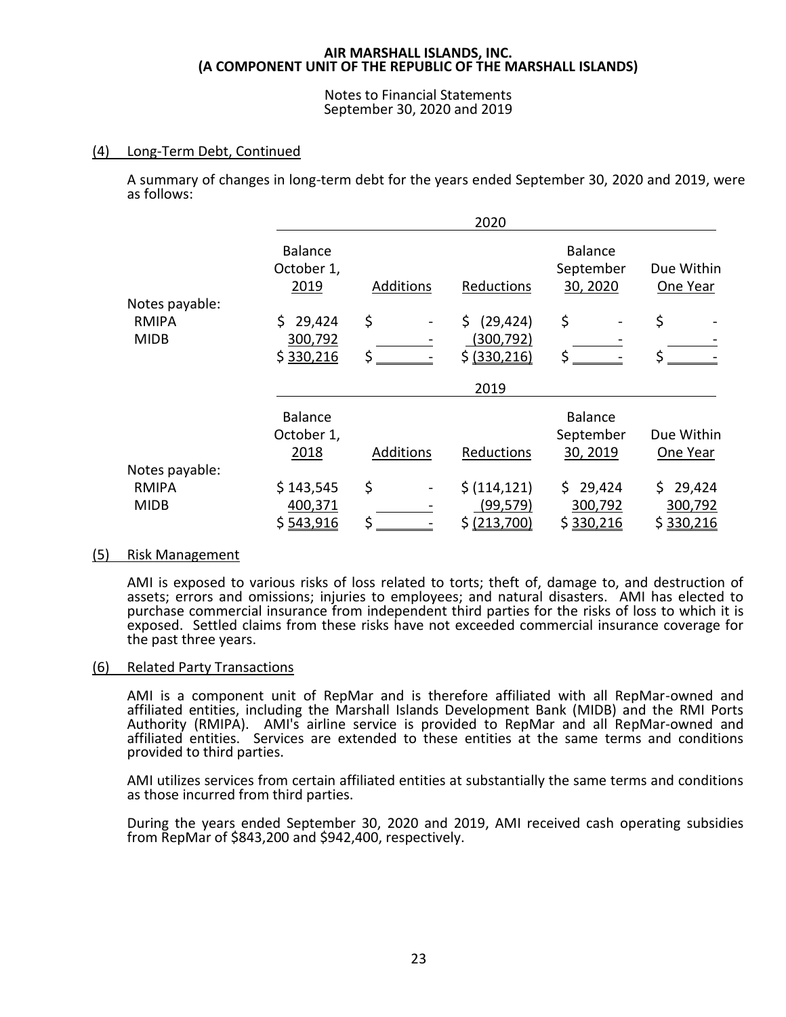Notes to Financial Statements September 30, 2020 and 2019

# (4) Long-Term Debt, Continued

A summary of changes in long-term debt for the years ended September 30, 2020 and 2019, were as follows:

|                                |                                      |           | 2020             |                                         |                        |
|--------------------------------|--------------------------------------|-----------|------------------|-----------------------------------------|------------------------|
|                                | <b>Balance</b><br>October 1,<br>2019 | Additions | Reductions       | <b>Balance</b><br>September<br>30, 2020 | Due Within<br>One Year |
| Notes payable:<br><b>RMIPA</b> | \$29,424                             | \$        | (29, 424)<br>\$. | \$                                      | \$                     |
| <b>MIDB</b>                    | 300,792                              |           | (300, 792)       |                                         |                        |
|                                | \$330,216                            | \$        | \$ (330, 216)    | \$                                      |                        |
|                                |                                      |           | 2019             |                                         |                        |
|                                | <b>Balance</b>                       |           |                  | <b>Balance</b>                          |                        |
|                                | October 1,                           |           |                  | September                               | Due Within             |
|                                | 2018                                 | Additions | Reductions       | 30, 2019                                | One Year               |
| Notes payable:                 |                                      |           |                  |                                         |                        |
| <b>RMIPA</b>                   | \$143,545                            | \$        | \$ (114, 121)    | \$29,424                                | Ś.<br>29,424           |
| <b>MIDB</b>                    | 400,371                              |           | (99, 579)        | 300,792                                 | 300,792                |
|                                | \$543,916                            | \$        | \$ (213,700)     | \$330,216                               | \$330,216              |

# (5) Risk Management

AMI is exposed to various risks of loss related to torts; theft of, damage to, and destruction of assets; errors and omissions; injuries to employees; and natural disasters. AMI has elected to purchase commercial insurance from independent third parties for the risks of loss to which it is exposed. Settled claims from these risks have not exceeded commercial insurance coverage for the past three years.

#### (6) Related Party Transactions

AMI is a component unit of RepMar and is therefore affiliated with all RepMar-owned and affiliated entities, including the Marshall Islands Development Bank (MIDB) and the RMI Ports Authority (RMIPA). AMI's airline service is provided to RepMar and all RepMar-owned and affiliated entities. Services are extended to these entities at the same terms and conditions provided to third parties.

AMI utilizes services from certain affiliated entities at substantially the same terms and conditions as those incurred from third parties.

During the years ended September 30, 2020 and 2019, AMI received cash operating subsidies from RepMar of \$843,200 and \$942,400, respectively.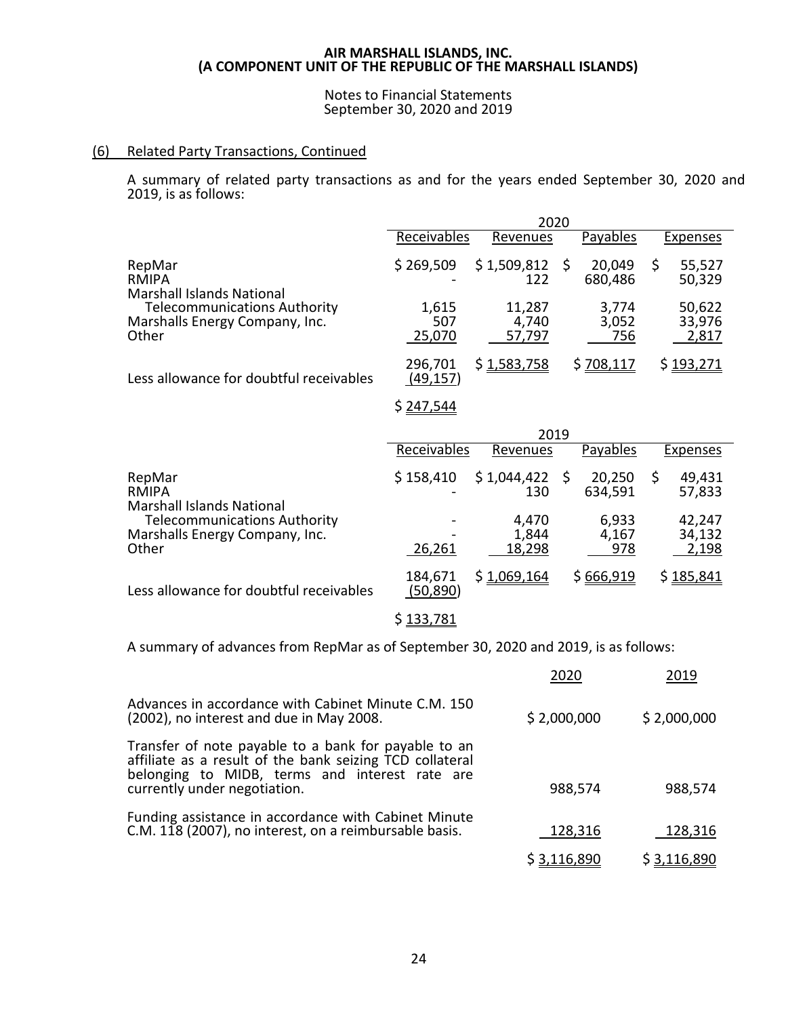# Notes to Financial Statements September 30, 2020 and 2019

# (6) Related Party Transactions, Continued

A summary of related party transactions as and for the years ended September 30, 2020 and 2019, is as follows:

|                                                                                | 2020                   |                           |                       |                           |  |  |
|--------------------------------------------------------------------------------|------------------------|---------------------------|-----------------------|---------------------------|--|--|
|                                                                                | Receivables            | Revenues                  | Payables              | Expenses                  |  |  |
| RepMar<br><b>RMIPA</b><br><b>Marshall Islands National</b>                     | \$269,509              | \$1,509,812<br>122        | 20,049<br>680,486     | 55,527<br>50,329          |  |  |
| <b>Telecommunications Authority</b><br>Marshalls Energy Company, Inc.<br>Other | 1,615<br>507<br>25,070 | 11,287<br>4,740<br>57,797 | 3,774<br>3,052<br>756 | 50,622<br>33,976<br>2,817 |  |  |
| Less allowance for doubtful receivables                                        | 296,701<br>(49, 157)   | \$1,583,758               | \$708,117             | <u>\$193,271</u>          |  |  |

 $$ 247,544$ 

|                                                                                | 2019                 |                          |  |                       |    |                           |
|--------------------------------------------------------------------------------|----------------------|--------------------------|--|-----------------------|----|---------------------------|
|                                                                                | Receivables          | Revenues                 |  | Payables              |    | Expenses                  |
| RepMar<br><b>RMIPA</b><br><b>Marshall Islands National</b>                     | \$158,410            | \$1,044,422<br>130       |  | 20,250<br>634,591     | \$ | 49,431<br>57,833          |
| <b>Telecommunications Authority</b><br>Marshalls Energy Company, Inc.<br>Other | 26,261               | 4,470<br>1,844<br>18,298 |  | 6,933<br>4,167<br>978 |    | 42,247<br>34,132<br>2,198 |
| Less allowance for doubtful receivables                                        | 184,671<br>(50, 890) | \$1,069,164              |  | \$666,919             |    | \$185,841                 |

\$ 133,781

A summary of advances from RepMar as of September 30, 2020 and 2019, is as follows:

|                                                                                                                                                                                                    | 2020               | 2019        |
|----------------------------------------------------------------------------------------------------------------------------------------------------------------------------------------------------|--------------------|-------------|
| Advances in accordance with Cabinet Minute C.M. 150<br>(2002), no interest and due in May 2008.                                                                                                    | \$2,000,000        | \$2,000,000 |
| Transfer of note payable to a bank for payable to an<br>affiliate as a result of the bank seizing TCD collateral<br>belonging to MIDB, terms and interest rate are<br>currently under negotiation. | 988,574            | 988,574     |
| Funding assistance in accordance with Cabinet Minute<br>C.M. 118 (2007), no interest, on a reimbursable basis.                                                                                     | 128,316            | 128,316     |
|                                                                                                                                                                                                    | <u>\$3,116,890</u> | \$3,116,890 |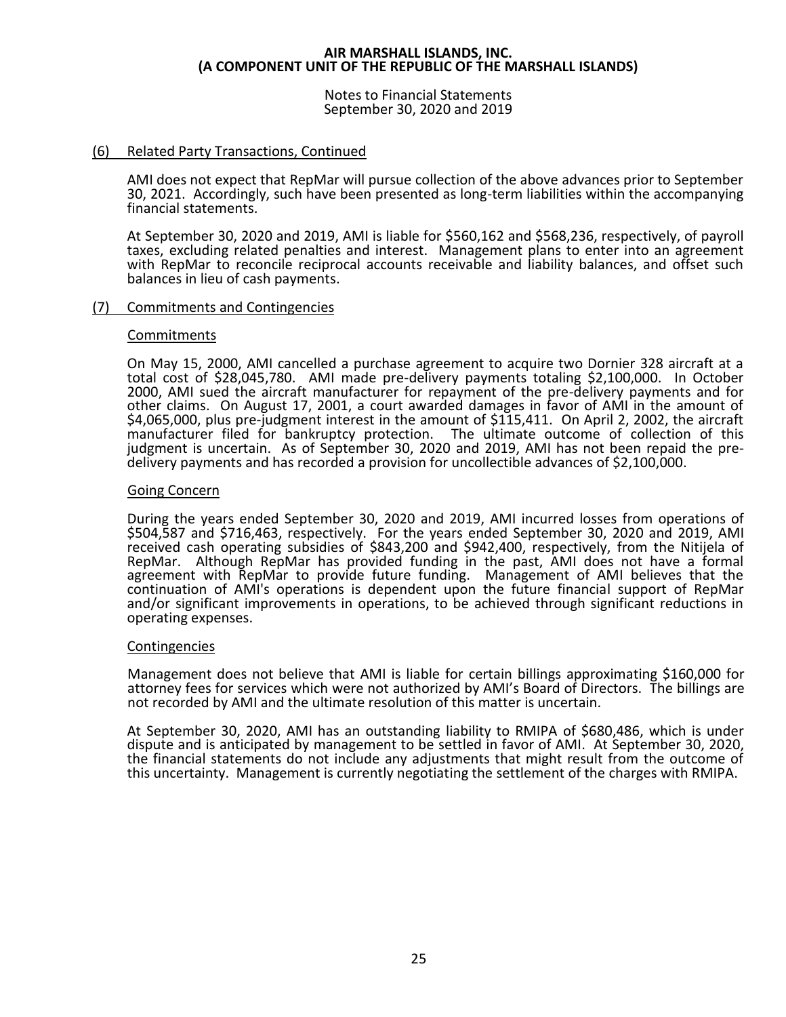Notes to Financial Statements September 30, 2020 and 2019

# (6) Related Party Transactions, Continued

AMI does not expect that RepMar will pursue collection of the above advances prior to September 30, 2021. Accordingly, such have been presented as long-term liabilities within the accompanying financial statements.

At September 30, 2020 and 2019, AMI is liable for \$560,162 and \$568,236, respectively, of payroll taxes, excluding related penalties and interest. Management plans to enter into an agreement with RepMar to reconcile reciprocal accounts receivable and liability balances, and offset such balances in lieu of cash payments.

#### (7) Commitments and Contingencies

#### Commitments

On May 15, 2000, AMI cancelled a purchase agreement to acquire two Dornier 328 aircraft at a total cost of \$28,045,780. AMI made pre-delivery payments totaling \$2,100,000. In October 2000, AMI sued the aircraft manufacturer for repayment of the pre-delivery payments and for other claims. On August 17, 2001, a court awarded damages in favor of AMI in the amount of \$4,065,000, plus pre-judgment interest in the amount of \$115,411. On April 2, 2002, the aircraft manufacturer filed for bankruptcy protection. The ultimate outcome of collection of this judgment is uncertain. As of September 30, 2020 and 2019, AMI has not been repaid the predelivery payments and has recorded a provision for uncollectible advances of \$2,100,000.

#### Going Concern

During the years ended September 30, 2020 and 2019, AMI incurred losses from operations of \$504,587 and \$716,463, respectively. For the years ended September 30, 2020 and 2019, AMI received cash operating subsidies of \$843,200 and \$942,400, respectively, from the Nitijela of RepMar. Although RepMar has provided funding in the past, AMI does not have a formal agreement with RepMar to provide future funding. Management of AMI believes that the continuation of AMI's operations is dependent upon the future financial support of RepMar and/or significant improvements in operations, to be achieved through significant reductions in operating expenses.

#### Contingencies

Management does not believe that AMI is liable for certain billings approximating \$160,000 for attorney fees for services which were not authorized by AMI's Board of Directors. The billings are not recorded by AMI and the ultimate resolution of this matter is uncertain.

At September 30, 2020, AMI has an outstanding liability to RMIPA of \$680,486, which is under dispute and is anticipated by management to be settled in favor of AMI. At September 30, 2020, the financial statements do not include any adjustments that might result from the outcome of this uncertainty. Management is currently negotiating the settlement of the charges with RMIPA.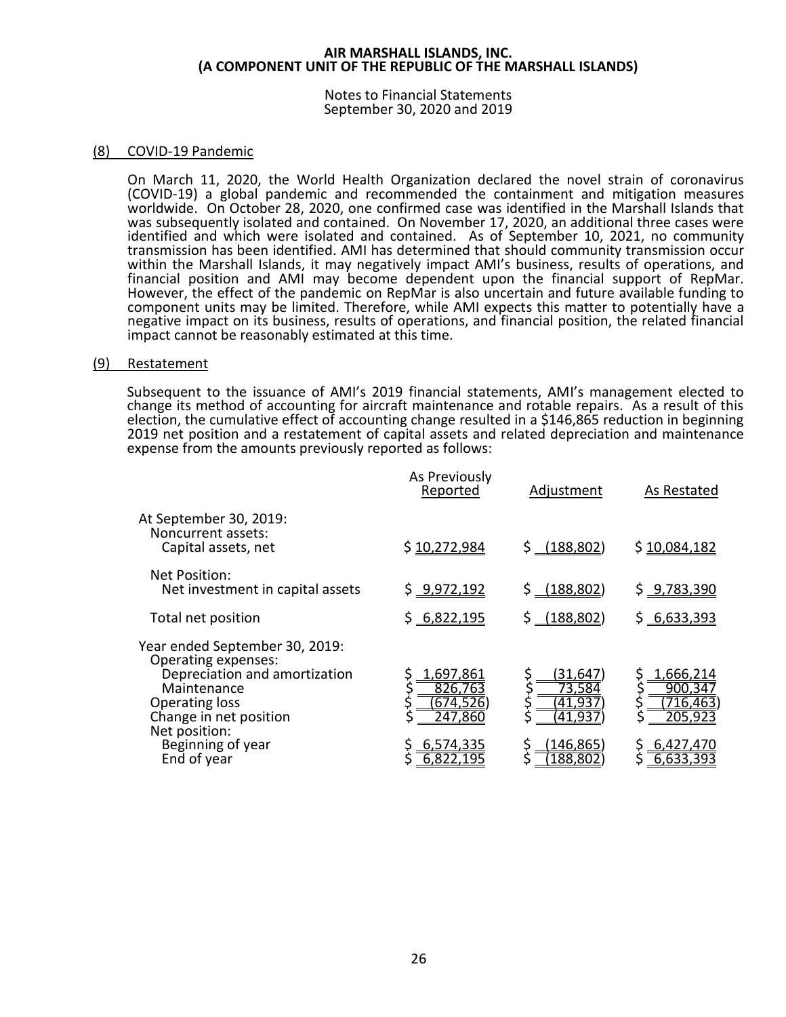Notes to Financial Statements September 30, 2020 and 2019

# (8) COVID-19 Pandemic

On March 11, 2020, the World Health Organization declared the novel strain of coronavirus (COVID-19) a global pandemic and recommended the containment and mitigation measures worldwide. On October 28, 2020, one confirmed case was identified in the Marshall Islands that was subsequently isolated and contained. On November 17, 2020, an additional three cases were identified and which were isolated and contained. As of September 10, 2021, no community transmission has been identified. AMI has determined that should community transmission occur within the Marshall Islands, it may negatively impact AMI's business, results of operations, and financial position and AMI may become dependent upon the financial support of RepMar. However, the effect of the pandemic on RepMar is also uncertain and future available funding to component units may be limited. Therefore, while AMI expects this matter to potentially have a negative impact on its business, results of operations, and financial position, the related financial impact cannot be reasonably estimated at this time.

#### (9) Restatement

Subsequent to the issuance of AMI's 2019 financial statements, AMI's management elected to change its method of accounting for aircraft maintenance and rotable repairs. As a result of this election, the cumulative effect of accounting change resulted in a \$146,865 reduction in beginning 2019 net position and a restatement of capital assets and related depreciation and maintenance expense from the amounts previously reported as follows:

|                                                                                                                                                                           | As Previously<br>Reported                  | Adjustment                         | As Restated                                |
|---------------------------------------------------------------------------------------------------------------------------------------------------------------------------|--------------------------------------------|------------------------------------|--------------------------------------------|
| At September 30, 2019:<br>Noncurrent assets:<br>Capital assets, net                                                                                                       | \$10,272,984                               | $$-(188,802)$                      | \$10,084,182                               |
| Net Position:<br>Net investment in capital assets                                                                                                                         | \$9,972,192                                | \$ (188, 802)                      | \$9,783,390                                |
| Total net position                                                                                                                                                        | \$6,822,195                                | \$ (188, 802)                      | \$6,633,393                                |
| Year ended September 30, 2019:<br>Operating expenses:<br>Depreciation and amortization<br>Maintenance<br><b>Operating loss</b><br>Change in net position<br>Net position: | 1,697,861<br>826,763<br>674,526<br>247,860 | 31,647<br>73,584<br>41.93<br>41,93 | 1,666,214<br>900,347<br>716,463<br>205,923 |
| Beginning of year<br>End of year                                                                                                                                          | 6,574,335                                  | (146,865)<br>188,802               | <u>6,427,4</u> 70<br>6,633,393             |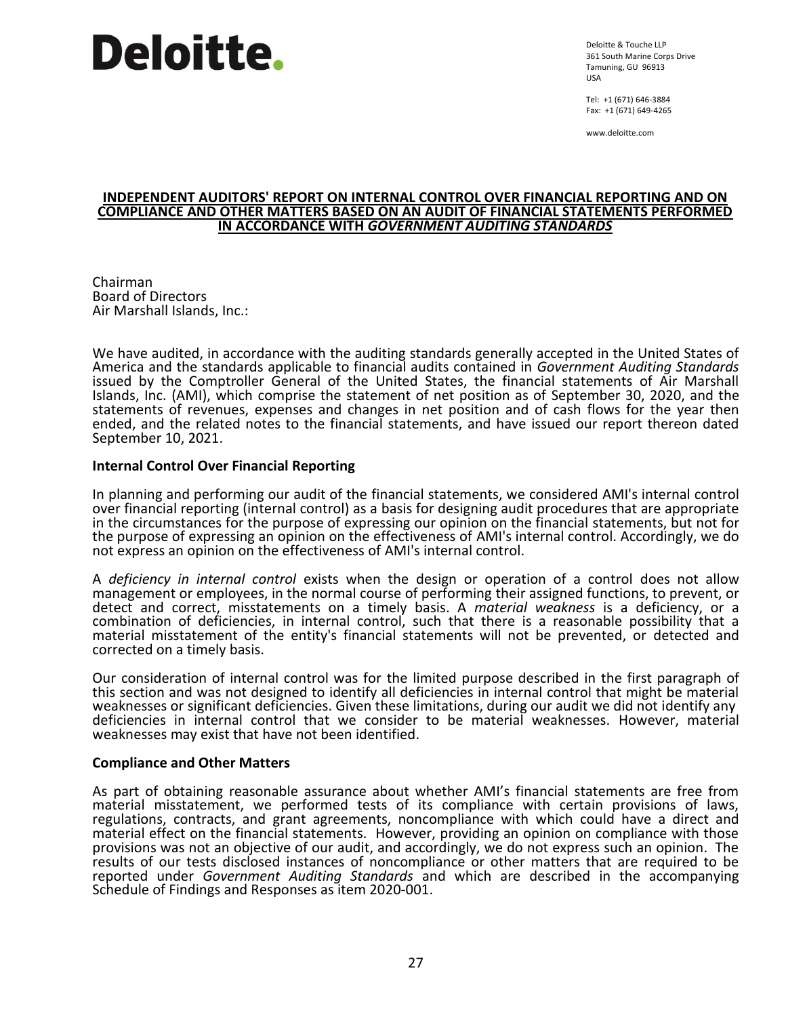# **Deloitte.**

Deloitte & Touche LLP 361 South Marine Corps Drive Tamuning, GU 96913 USA

Tel: +1 (671) 646-3884 Fax: +1 (671) 649-4265

www.deloitte.com

#### **INDEPENDENT AUDITORS' REPORT ON INTERNAL CONTROL OVER FINANCIAL REPORTING AND ON COMPLIANCE AND OTHER MATTERS BASED ON AN AUDIT OF FINANCIAL STATEMENTS PERFORMED IN ACCORDANCE WITH** *GOVERNMENT AUDITING STANDARDS*

Chairman Board of Directors Air Marshall Islands, Inc.:

We have audited, in accordance with the auditing standards generally accepted in the United States of America and the standards applicable to financial audits contained in *Government Auditing Standards* issued by the Comptroller General of the United States, the financial statements of Air Marshall Islands, Inc. (AMI), which comprise the statement of net position as of September 30, 2020, and the statements of revenues, expenses and changes in net position and of cash flows for the year then ended, and the related notes to the financial statements, and have issued our report thereon dated September 10, 2021.

# **Internal Control Over Financial Reporting**

In planning and performing our audit of the financial statements, we considered AMI's internal control over financial reporting (internal control) as a basis for designing audit procedures that are appropriate in the circumstances for the purpose of expressing our opinion on the financial statements, but not for the purpose of expressing an opinion on the effectiveness of AMI's internal control. Accordingly, we do not express an opinion on the effectiveness of AMI's internal control.

A *deficiency in internal control* exists when the design or operation of a control does not allow management or employees, in the normal course of performing their assigned functions, to prevent, or detect and correct, misstatements on a timely basis. A *material weakness* is a deficiency, or a combination of deficiencies, in internal control, such that there is a reasonable possibility that a material misstatement of the entity's financial statements will not be prevented, or detected and corrected on a timely basis.

Our consideration of internal control was for the limited purpose described in the first paragraph of this section and was not designed to identify all deficiencies in internal control that might be material weaknesses or significant deficiencies. Given these limitations, during our audit we did not identify any deficiencies in internal control that we consider to be material weaknesses. However, material weaknesses may exist that have not been identified.

#### **Compliance and Other Matters**

As part of obtaining reasonable assurance about whether AMI's financial statements are free from material misstatement, we performed tests of its compliance with certain provisions of laws, regulations, contracts, and grant agreements, noncompliance with which could have a direct and material effect on the financial statements. However, providing an opinion on compliance with those provisions was not an objective of our audit, and accordingly, we do not express such an opinion. The results of our tests disclosed instances of noncompliance or other matters that are required to be reported under *Government Auditing Standards* and which are described in the accompanying Schedule of Findings and Responses as item 2020-001.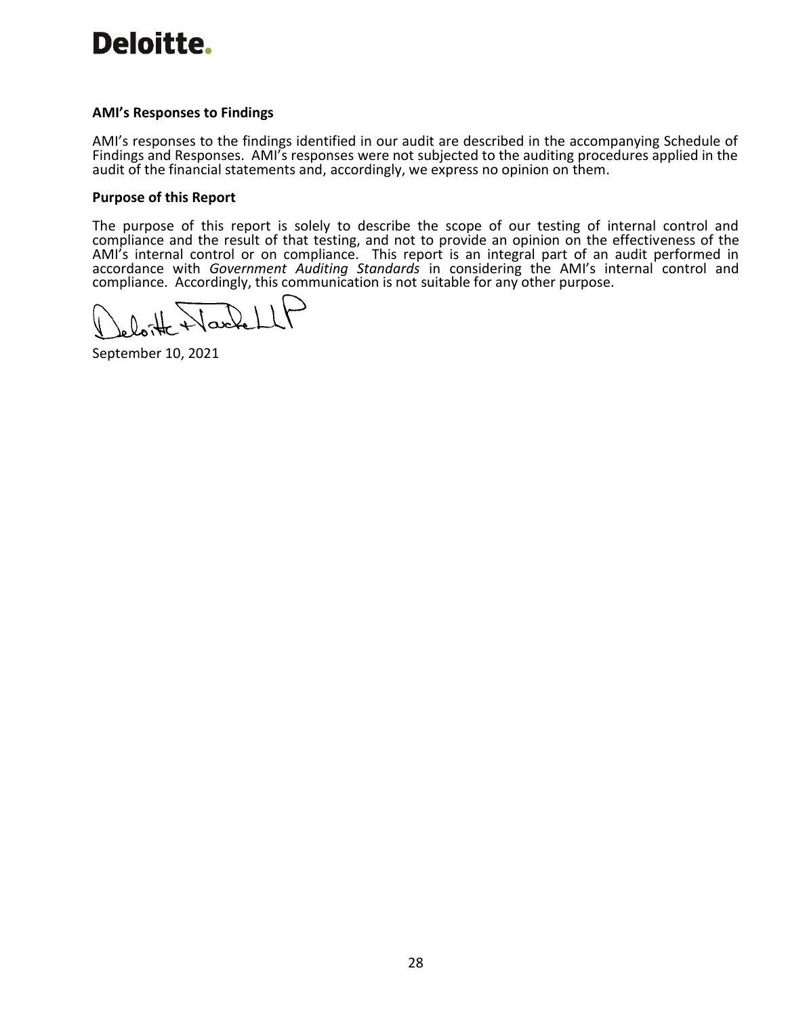# Deloitte.

# **AMI's Responses to Findings**

AMI's responses to the findings identified in our audit are described in the accompanying Schedule of Findings and Responses. AMI's responses were not subjected to the auditing procedures applied in the audit of the financial statements and, accordingly, we express no opinion on them.

# **Purpose of this Report**

The purpose of this report is solely to describe the scope of our testing of internal control and compliance and the result of that testing, and not to provide an opinion on the effectiveness of the AMI's internal control or on compliance. This report is an integral part of an audit performed in accordance with *Government Auditing Standards* in considering the AMI's internal control and compliance. Accordingly, this communication is not suitable for any other purpose.

September 10, 2021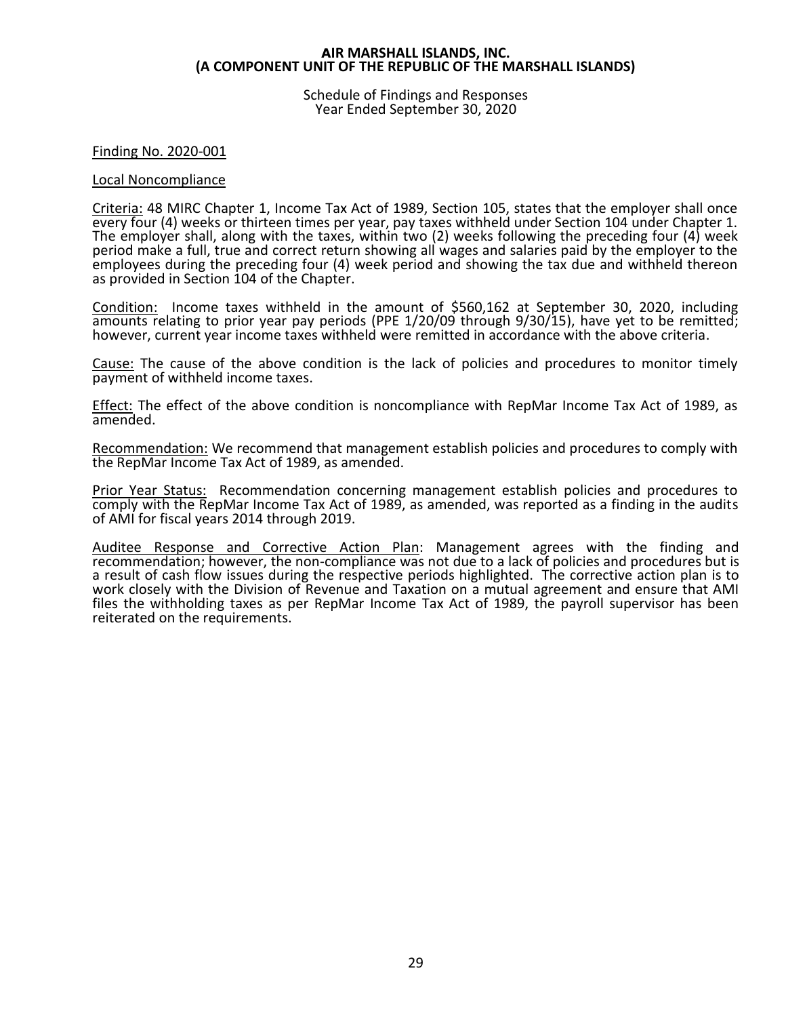Schedule of Findings and Responses Year Ended September 30, 2020

# Finding No. 2020-001

#### Local Noncompliance

Criteria: 48 MIRC Chapter 1, Income Tax Act of 1989, Section 105, states that the employer shall once every four (4) weeks or thirteen times per year, pay taxes withheld under Section 104 under Chapter 1. The employer shall, along with the taxes, within two (2) weeks following the preceding four (4) week period make a full, true and correct return showing all wages and salaries paid by the employer to the employees during the preceding four (4) week period and showing the tax due and withheld thereon as provided in Section 104 of the Chapter.

Condition: Income taxes withheld in the amount of \$560,162 at September 30, 2020, including amounts relating to prior year pay periods (PPE 1/20/09 through 9/30/15), have yet to be remitted; however, current year income taxes withheld were remitted in accordance with the above criteria.

Cause: The cause of the above condition is the lack of policies and procedures to monitor timely payment of withheld income taxes.

Effect: The effect of the above condition is noncompliance with RepMar Income Tax Act of 1989, as amended.

Recommendation: We recommend that management establish policies and procedures to comply with the RepMar Income Tax Act of 1989, as amended.

Prior Year Status: Recommendation concerning management establish policies and procedures to comply with the RepMar Income Tax Act of 1989, as amended, was reported as a finding in the audits of AMI for fiscal years 2014 through 2019.

Auditee Response and Corrective Action Plan: Management agrees with the finding and recommendation; however, the non-compliance was not due to a lack of policies and procedures but is a result of cash flow issues during the respective periods highlighted. The corrective action plan is to work closely with the Division of Revenue and Taxation on a mutual agreement and ensure that AMI files the withholding taxes as per RepMar Income Tax Act of 1989, the payroll supervisor has been reiterated on the requirements.